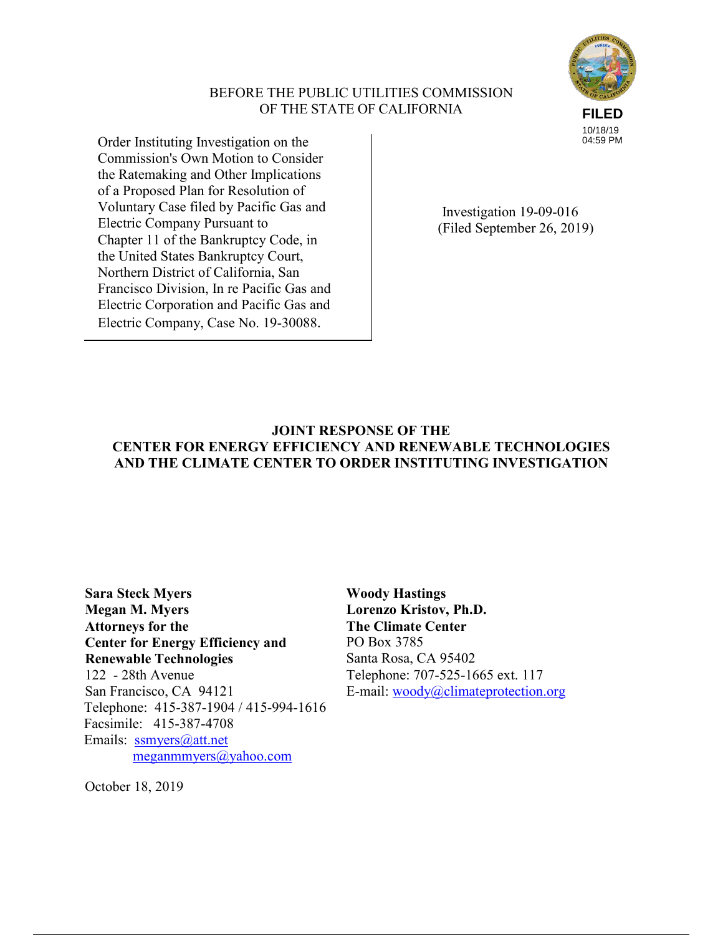# BEFORE THE PUBLIC UTILITIES COMMISSION OF THE STATE OF CALIFORNIA



Order Instituting Investigation on the Commission's Own Motion to Consider the Ratemaking and Other Implications of a Proposed Plan for Resolution of Voluntary Case filed by Pacific Gas and Electric Company Pursuant to Chapter 11 of the Bankruptcy Code, in the United States Bankruptcy Court, Northern District of California, San Francisco Division, In re Pacific Gas and Electric Corporation and Pacific Gas and Electric Company, Case No. 19-30088.

 Investigation 19-09-016 (Filed September 26, 2019)

# **JOINT RESPONSE OF THE CENTER FOR ENERGY EFFICIENCY AND RENEWABLE TECHNOLOGIES AND THE CLIMATE CENTER TO ORDER INSTITUTING INVESTIGATION**

**Sara Steck Myers Megan M. Myers Attorneys for the Center for Energy Efficiency and Renewable Technologies** 122 - 28th Avenue San Francisco, CA 94121 Telephone: 415-387-1904 / 415-994-1616 Facsimile: 415-387-4708 Emails: ssmyers@att.net meganmmyers@yahoo.com

**Woody Hastings Lorenzo Kristov, Ph.D. The Climate Center**  PO Box 3785 Santa Rosa, CA 95402 Telephone: 707-525-1665 ext. 117 E-mail: woody@climateprotection.org

October 18, 2019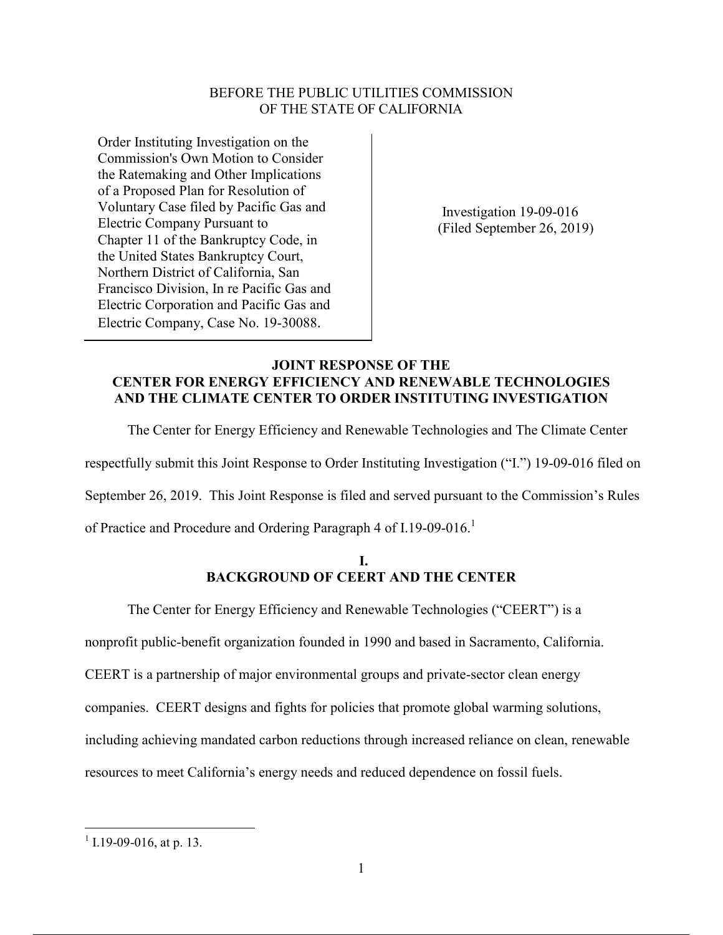# BEFORE THE PUBLIC UTILITIES COMMISSION OF THE STATE OF CALIFORNIA

Order Instituting Investigation on the Commission's Own Motion to Consider the Ratemaking and Other Implications of a Proposed Plan for Resolution of Voluntary Case filed by Pacific Gas and Electric Company Pursuant to Chapter 11 of the Bankruptcy Code, in the United States Bankruptcy Court, Northern District of California, San Francisco Division, In re Pacific Gas and Electric Corporation and Pacific Gas and Electric Company, Case No. 19-30088.

 Investigation 19-09-016 (Filed September 26, 2019)

## **JOINT RESPONSE OF THE CENTER FOR ENERGY EFFICIENCY AND RENEWABLE TECHNOLOGIES AND THE CLIMATE CENTER TO ORDER INSTITUTING INVESTIGATION**

The Center for Energy Efficiency and Renewable Technologies and The Climate Center

respectfully submit this Joint Response to Order Instituting Investigation ("I.") 19-09-016 filed on

September 26, 2019. This Joint Response is filed and served pursuant to the Commission's Rules

of Practice and Procedure and Ordering Paragraph 4 of I.19-09-016.<sup>1</sup>

## **I. BACKGROUND OF CEERT AND THE CENTER**

The Center for Energy Efficiency and Renewable Technologies ("CEERT") is a

nonprofit public-benefit organization founded in 1990 and based in Sacramento, California.

CEERT is a partnership of major environmental groups and private-sector clean energy

companies. CEERT designs and fights for policies that promote global warming solutions,

including achieving mandated carbon reductions through increased reliance on clean, renewable

resources to meet California's energy needs and reduced dependence on fossil fuels.

 $1$  I.19-09-016, at p. 13.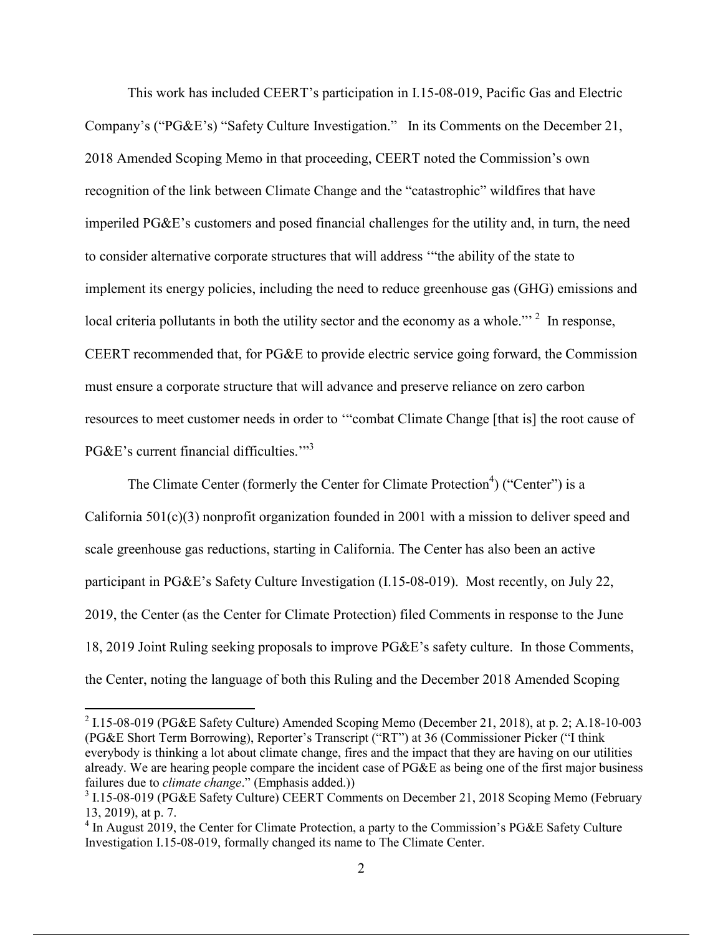This work has included CEERT's participation in I.15-08-019, Pacific Gas and Electric Company's ("PG&E's) "Safety Culture Investigation." In its Comments on the December 21, 2018 Amended Scoping Memo in that proceeding, CEERT noted the Commission's own recognition of the link between Climate Change and the "catastrophic" wildfires that have imperiled PG&E's customers and posed financial challenges for the utility and, in turn, the need to consider alternative corporate structures that will address '"the ability of the state to implement its energy policies, including the need to reduce greenhouse gas (GHG) emissions and local criteria pollutants in both the utility sector and the economy as a whole."<sup>2</sup> In response, CEERT recommended that, for PG&E to provide electric service going forward, the Commission must ensure a corporate structure that will advance and preserve reliance on zero carbon resources to meet customer needs in order to '"combat Climate Change [that is] the root cause of PG&E's current financial difficulties."<sup>3</sup>

The Climate Center (formerly the Center for Climate Protection<sup>4</sup>) ("Center") is a California 501(c)(3) nonprofit organization founded in 2001 with a mission to deliver speed and scale greenhouse gas reductions, starting in California. The Center has also been an active participant in PG&E's Safety Culture Investigation (I.15-08-019). Most recently, on July 22, 2019, the Center (as the Center for Climate Protection) filed Comments in response to the June 18, 2019 Joint Ruling seeking proposals to improve PG&E's safety culture. In those Comments, the Center, noting the language of both this Ruling and the December 2018 Amended Scoping

 <sup>2</sup> I.15-08-019 (PG&E Safety Culture) Amended Scoping Memo (December 21, 2018), at p. 2; A.18-10-003 (PG&E Short Term Borrowing), Reporter's Transcript ("RT") at 36 (Commissioner Picker ("I think everybody is thinking a lot about climate change, fires and the impact that they are having on our utilities already. We are hearing people compare the incident case of PG&E as being one of the first major business failures due to *climate change*." (Emphasis added.))

<sup>&</sup>lt;sup>3</sup> I.15-08-019 (PG&E Safety Culture) CEERT Comments on December 21, 2018 Scoping Memo (February 13, 2019), at p. 7.

<sup>&</sup>lt;sup>4</sup> In August 2019, the Center for Climate Protection, a party to the Commission's PG&E Safety Culture Investigation I.15-08-019, formally changed its name to The Climate Center.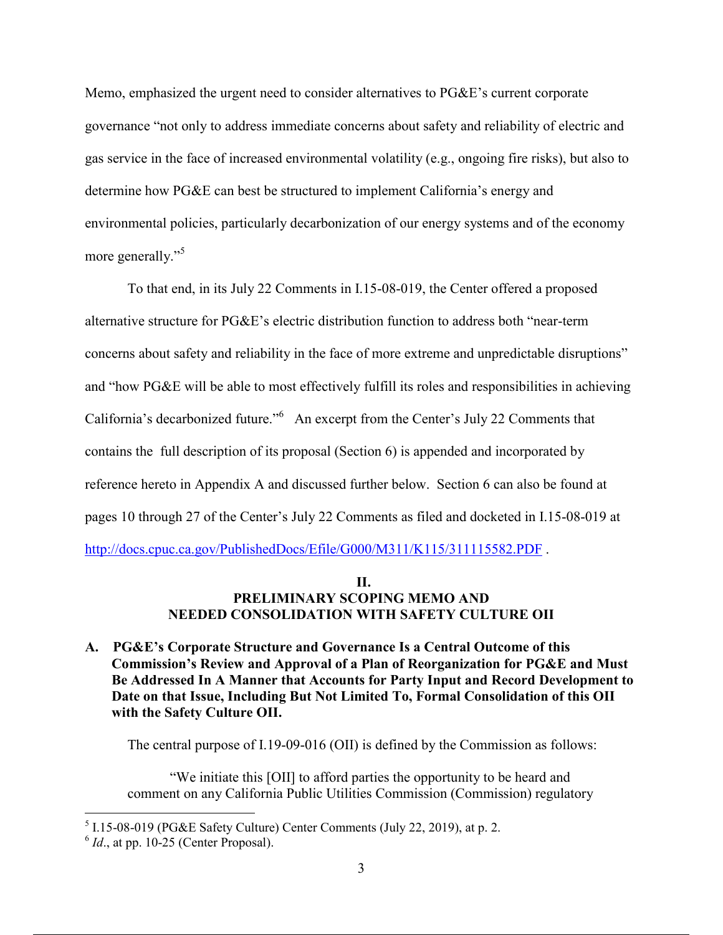Memo, emphasized the urgent need to consider alternatives to PG&E's current corporate governance "not only to address immediate concerns about safety and reliability of electric and gas service in the face of increased environmental volatility (e.g., ongoing fire risks), but also to determine how PG&E can best be structured to implement California's energy and environmental policies, particularly decarbonization of our energy systems and of the economy more generally."<sup>5</sup>

To that end, in its July 22 Comments in I.15-08-019, the Center offered a proposed alternative structure for PG&E's electric distribution function to address both "near-term concerns about safety and reliability in the face of more extreme and unpredictable disruptions" and "how PG&E will be able to most effectively fulfill its roles and responsibilities in achieving California's decarbonized future."<sup>6</sup> An excerpt from the Center's July 22 Comments that contains the full description of its proposal (Section 6) is appended and incorporated by reference hereto in Appendix A and discussed further below. Section 6 can also be found at pages 10 through 27 of the Center's July 22 Comments as filed and docketed in I.15-08-019 at http://docs.cpuc.ca.gov/PublishedDocs/Efile/G000/M311/K115/311115582.PDF.

## **II. PRELIMINARY SCOPING MEMO AND NEEDED CONSOLIDATION WITH SAFETY CULTURE OII**

**A. PG&E's Corporate Structure and Governance Is a Central Outcome of this Commission's Review and Approval of a Plan of Reorganization for PG&E and Must Be Addressed In A Manner that Accounts for Party Input and Record Development to Date on that Issue, Including But Not Limited To, Formal Consolidation of this OII with the Safety Culture OII.** 

The central purpose of I.19-09-016 (OII) is defined by the Commission as follows:

"We initiate this [OII] to afford parties the opportunity to be heard and comment on any California Public Utilities Commission (Commission) regulatory

 <sup>5</sup> I.15-08-019 (PG&E Safety Culture) Center Comments (July 22, 2019), at p. 2.

 $6$  *Id.*, at pp. 10-25 (Center Proposal).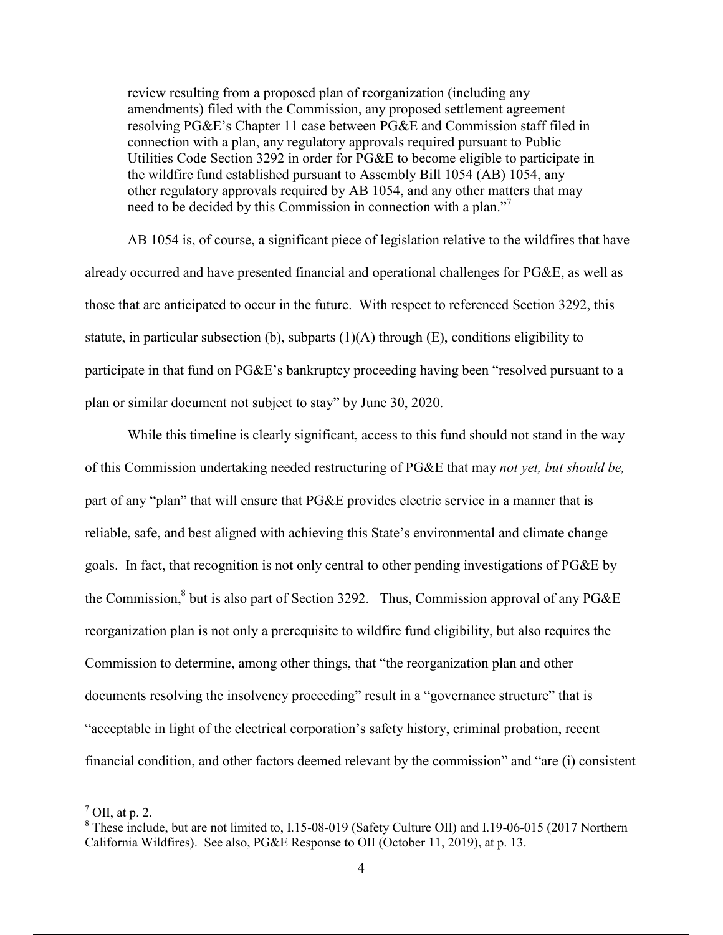review resulting from a proposed plan of reorganization (including any amendments) filed with the Commission, any proposed settlement agreement resolving PG&E's Chapter 11 case between PG&E and Commission staff filed in connection with a plan, any regulatory approvals required pursuant to Public Utilities Code Section 3292 in order for  $P G \& E$  to become eligible to participate in the wildfire fund established pursuant to Assembly Bill 1054 (AB) 1054, any other regulatory approvals required by AB 1054, and any other matters that may need to be decided by this Commission in connection with a plan." 7

AB 1054 is, of course, a significant piece of legislation relative to the wildfires that have already occurred and have presented financial and operational challenges for PG&E, as well as those that are anticipated to occur in the future. With respect to referenced Section 3292, this statute, in particular subsection (b), subparts  $(1)(A)$  through  $(E)$ , conditions eligibility to participate in that fund on PG&E's bankruptcy proceeding having been "resolved pursuant to a plan or similar document not subject to stay" by June 30, 2020.

While this timeline is clearly significant, access to this fund should not stand in the way of this Commission undertaking needed restructuring of PG&E that may *not yet, but should be,* part of any "plan" that will ensure that PG&E provides electric service in a manner that is reliable, safe, and best aligned with achieving this State's environmental and climate change goals. In fact, that recognition is not only central to other pending investigations of PG&E by the Commission, $8$  but is also part of Section 3292. Thus, Commission approval of any PG&E reorganization plan is not only a prerequisite to wildfire fund eligibility, but also requires the Commission to determine, among other things, that "the reorganization plan and other documents resolving the insolvency proceeding" result in a "governance structure" that is "acceptable in light of the electrical corporation's safety history, criminal probation, recent financial condition, and other factors deemed relevant by the commission" and "are (i) consistent

 $<sup>7</sup>$  OII, at p. 2.</sup>

<sup>&</sup>lt;sup>8</sup> These include, but are not limited to, I.15-08-019 (Safety Culture OII) and I.19-06-015 (2017 Northern California Wildfires). See also, PG&E Response to OII (October 11, 2019), at p. 13.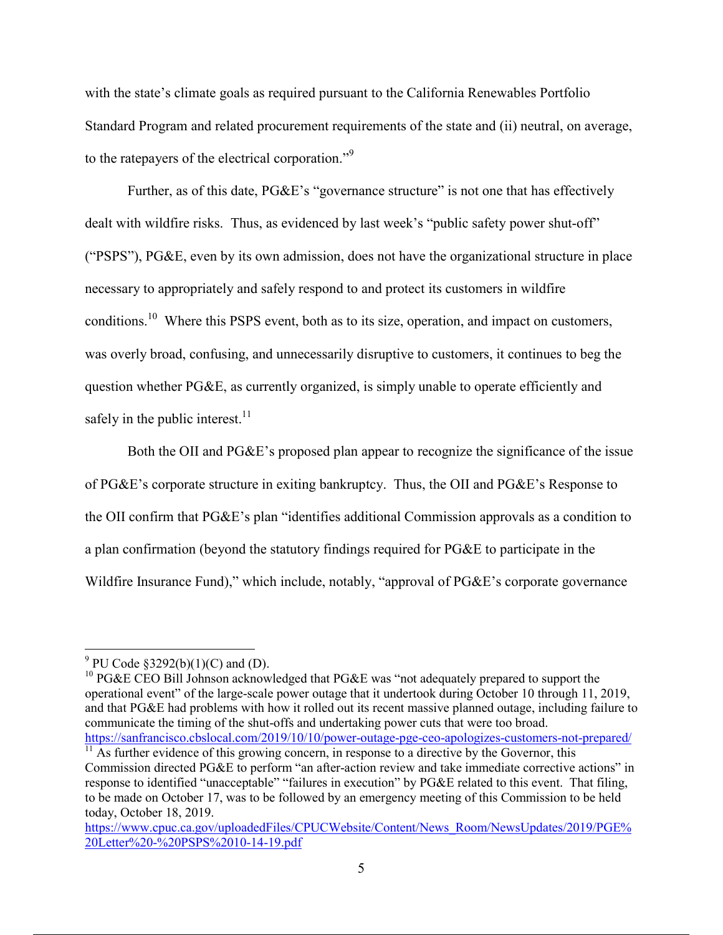with the state's climate goals as required pursuant to the California Renewables Portfolio Standard Program and related procurement requirements of the state and (ii) neutral, on average, to the ratepayers of the electrical corporation."<sup>9</sup>

Further, as of this date, PG&E's "governance structure" is not one that has effectively dealt with wildfire risks. Thus, as evidenced by last week's "public safety power shut-off" ("PSPS"), PG&E, even by its own admission, does not have the organizational structure in place necessary to appropriately and safely respond to and protect its customers in wildfire conditions.<sup>10</sup> Where this PSPS event, both as to its size, operation, and impact on customers, was overly broad, confusing, and unnecessarily disruptive to customers, it continues to beg the question whether PG&E, as currently organized, is simply unable to operate efficiently and safely in the public interest.<sup>11</sup>

Both the OII and PG&E's proposed plan appear to recognize the significance of the issue of PG&E's corporate structure in exiting bankruptcy. Thus, the OII and PG&E's Response to the OII confirm that PG&E's plan "identifies additional Commission approvals as a condition to a plan confirmation (beyond the statutory findings required for PG&E to participate in the Wildfire Insurance Fund)," which include, notably, "approval of PG&E's corporate governance

 $9^9$  PU Code §3292(b)(1)(C) and (D).

<sup>&</sup>lt;sup>10</sup> PG&E CEO Bill Johnson acknowledged that PG&E was "not adequately prepared to support the operational event" of the large-scale power outage that it undertook during October 10 through 11, 2019, and that PG&E had problems with how it rolled out its recent massive planned outage, including failure to communicate the timing of the shut-offs and undertaking power cuts that were too broad. https://sanfrancisco.cbslocal.com/2019/10/10/power-outage-pge-ceo-apologizes-customers-not-prepared/

 $\frac{11}{11}$  As further evidence of this growing concern, in response to a directive by the Governor, this Commission directed PG&E to perform "an after-action review and take immediate corrective actions" in response to identified "unacceptable" "failures in execution" by PG&E related to this event. That filing, to be made on October 17, was to be followed by an emergency meeting of this Commission to be held today, October 18, 2019.

https://www.cpuc.ca.gov/uploadedFiles/CPUCWebsite/Content/News\_Room/NewsUpdates/2019/PGE% 20Letter%20-%20PSPS%2010-14-19.pdf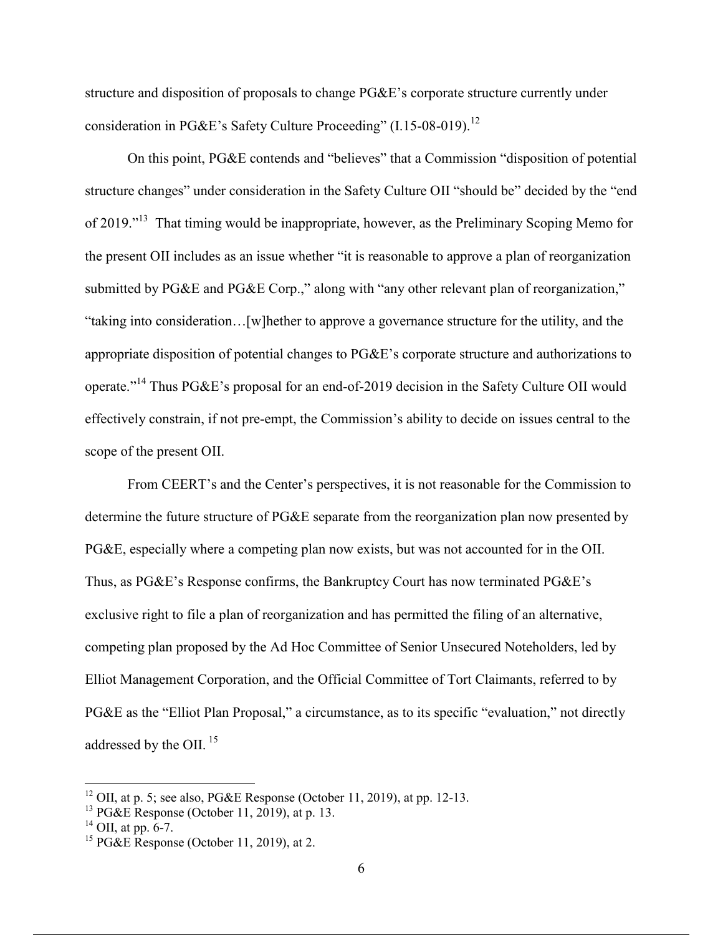structure and disposition of proposals to change PG&E's corporate structure currently under consideration in PG&E's Safety Culture Proceeding" (I.15-08-019).<sup>12</sup>

On this point, PG&E contends and "believes" that a Commission "disposition of potential structure changes" under consideration in the Safety Culture OII "should be" decided by the "end of 2019."<sup>13</sup> That timing would be inappropriate, however, as the Preliminary Scoping Memo for the present OII includes as an issue whether "it is reasonable to approve a plan of reorganization submitted by PG&E and PG&E Corp.," along with "any other relevant plan of reorganization," "taking into consideration…[w]hether to approve a governance structure for the utility, and the appropriate disposition of potential changes to PG&E's corporate structure and authorizations to operate."<sup>14</sup> Thus PG&E's proposal for an end-of-2019 decision in the Safety Culture OII would effectively constrain, if not pre-empt, the Commission's ability to decide on issues central to the scope of the present OII.

From CEERT's and the Center's perspectives, it is not reasonable for the Commission to determine the future structure of PG&E separate from the reorganization plan now presented by PG&E, especially where a competing plan now exists, but was not accounted for in the OII. Thus, as PG&E's Response confirms, the Bankruptcy Court has now terminated PG&E's exclusive right to file a plan of reorganization and has permitted the filing of an alternative, competing plan proposed by the Ad Hoc Committee of Senior Unsecured Noteholders, led by Elliot Management Corporation, and the Official Committee of Tort Claimants, referred to by PG&E as the "Elliot Plan Proposal," a circumstance, as to its specific "evaluation," not directly addressed by the OII.<sup>15</sup>

<sup>&</sup>lt;sup>12</sup> OII, at p. 5; see also, PG&E Response (October 11, 2019), at pp. 12-13.

<sup>13</sup> PG&E Response (October 11, 2019), at p. 13.

 $^{14}$  OII, at pp. 6-7.

<sup>&</sup>lt;sup>15</sup> PG&E Response (October 11, 2019), at 2.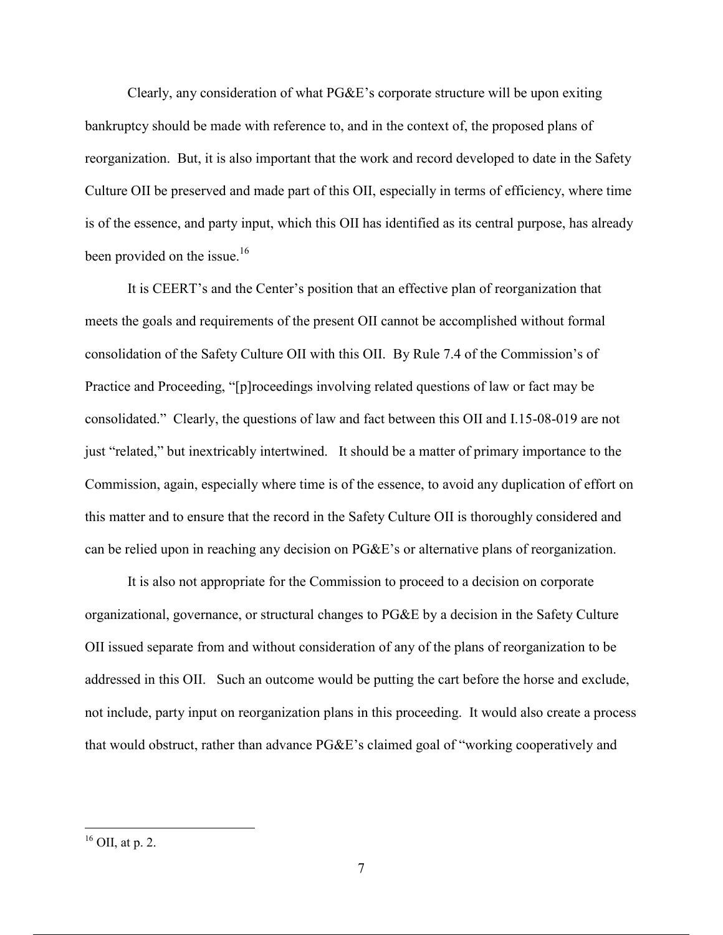Clearly, any consideration of what PG&E's corporate structure will be upon exiting bankruptcy should be made with reference to, and in the context of, the proposed plans of reorganization. But, it is also important that the work and record developed to date in the Safety Culture OII be preserved and made part of this OII, especially in terms of efficiency, where time is of the essence, and party input, which this OII has identified as its central purpose, has already been provided on the issue.<sup>16</sup>

It is CEERT's and the Center's position that an effective plan of reorganization that meets the goals and requirements of the present OII cannot be accomplished without formal consolidation of the Safety Culture OII with this OII. By Rule 7.4 of the Commission's of Practice and Proceeding, "[p]roceedings involving related questions of law or fact may be consolidated." Clearly, the questions of law and fact between this OII and I.15-08-019 are not just "related," but inextricably intertwined. It should be a matter of primary importance to the Commission, again, especially where time is of the essence, to avoid any duplication of effort on this matter and to ensure that the record in the Safety Culture OII is thoroughly considered and can be relied upon in reaching any decision on PG&E's or alternative plans of reorganization.

It is also not appropriate for the Commission to proceed to a decision on corporate organizational, governance, or structural changes to PG&E by a decision in the Safety Culture OII issued separate from and without consideration of any of the plans of reorganization to be addressed in this OII. Such an outcome would be putting the cart before the horse and exclude, not include, party input on reorganization plans in this proceeding. It would also create a process that would obstruct, rather than advance PG&E's claimed goal of "working cooperatively and

 $16$  OII, at p. 2.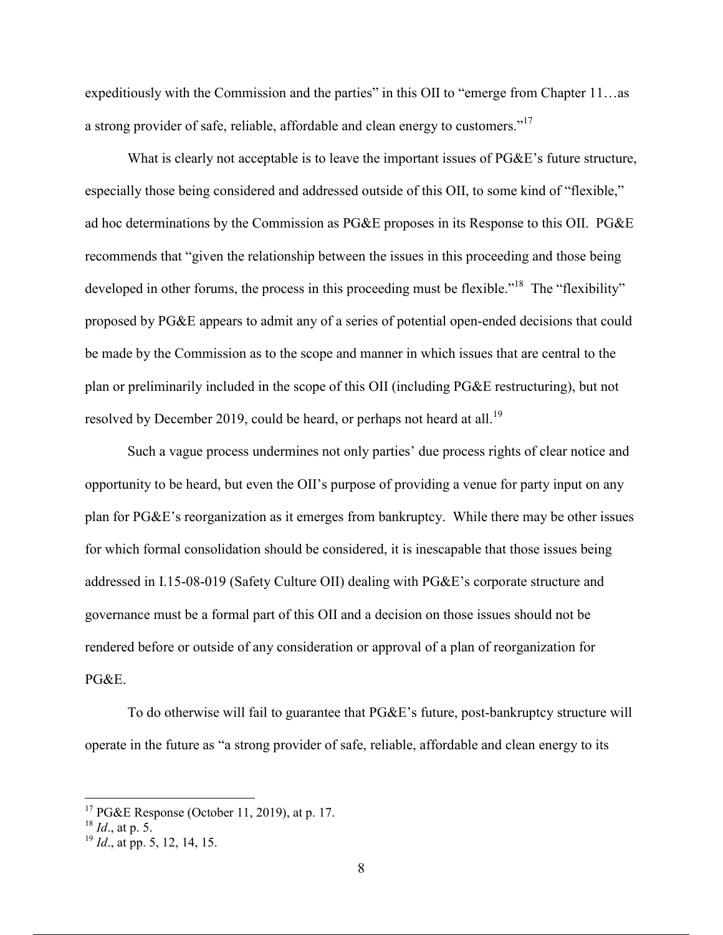expeditiously with the Commission and the parties" in this OII to "emerge from Chapter 11…as a strong provider of safe, reliable, affordable and clean energy to customers."17

What is clearly not acceptable is to leave the important issues of PG&E's future structure, especially those being considered and addressed outside of this OII, to some kind of "flexible," ad hoc determinations by the Commission as PG&E proposes in its Response to this OII. PG&E recommends that "given the relationship between the issues in this proceeding and those being developed in other forums, the process in this proceeding must be flexible."<sup>18</sup> The "flexibility" proposed by PG&E appears to admit any of a series of potential open-ended decisions that could be made by the Commission as to the scope and manner in which issues that are central to the plan or preliminarily included in the scope of this OII (including PG&E restructuring), but not resolved by December 2019, could be heard, or perhaps not heard at all.<sup>19</sup>

Such a vague process undermines not only parties' due process rights of clear notice and opportunity to be heard, but even the OII's purpose of providing a venue for party input on any plan for PG&E's reorganization as it emerges from bankruptcy. While there may be other issues for which formal consolidation should be considered, it is inescapable that those issues being addressed in I.15-08-019 (Safety Culture OII) dealing with PG&E's corporate structure and governance must be a formal part of this OII and a decision on those issues should not be rendered before or outside of any consideration or approval of a plan of reorganization for PG&E.

To do otherwise will fail to guarantee that PG&E's future, post-bankruptcy structure will operate in the future as "a strong provider of safe, reliable, affordable and clean energy to its

<sup>&</sup>lt;sup>17</sup> PG&E Response (October 11, 2019), at p. 17.

 $^{18}$  *Id.*, at p. 5.

<sup>&</sup>lt;sup>19</sup> *Id.*, at pp. 5, 12, 14, 15.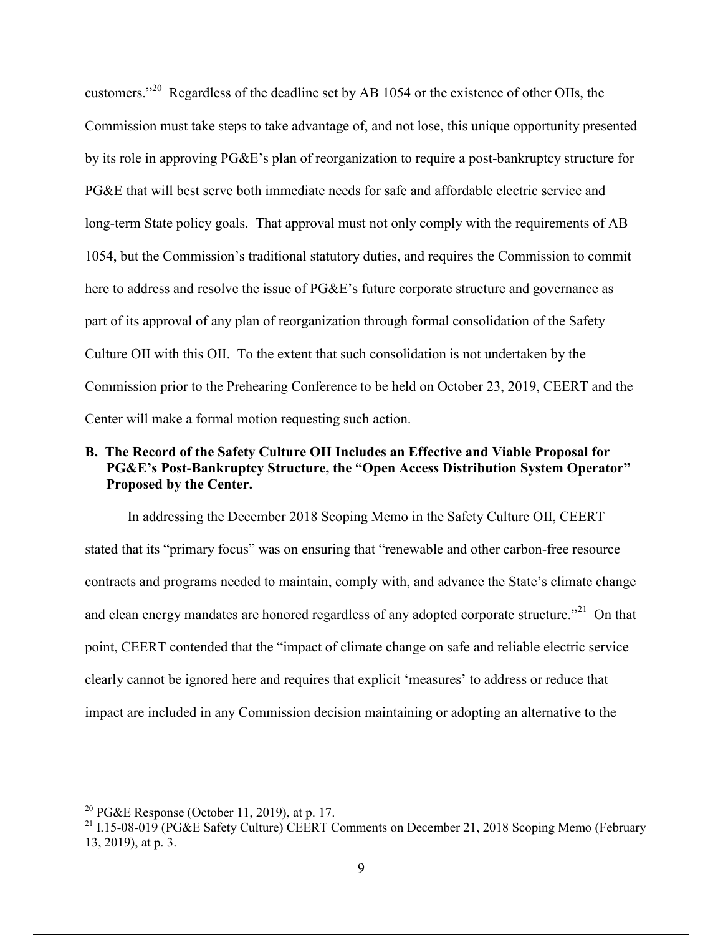customers."20 Regardless of the deadline set by AB 1054 or the existence of other OIIs, the Commission must take steps to take advantage of, and not lose, this unique opportunity presented by its role in approving PG&E's plan of reorganization to require a post-bankruptcy structure for PG&E that will best serve both immediate needs for safe and affordable electric service and long-term State policy goals. That approval must not only comply with the requirements of AB 1054, but the Commission's traditional statutory duties, and requires the Commission to commit here to address and resolve the issue of PG&E's future corporate structure and governance as part of its approval of any plan of reorganization through formal consolidation of the Safety Culture OII with this OII. To the extent that such consolidation is not undertaken by the Commission prior to the Prehearing Conference to be held on October 23, 2019, CEERT and the Center will make a formal motion requesting such action.

# **B. The Record of the Safety Culture OII Includes an Effective and Viable Proposal for PG&E's Post-Bankruptcy Structure, the "Open Access Distribution System Operator" Proposed by the Center.**

In addressing the December 2018 Scoping Memo in the Safety Culture OII, CEERT stated that its "primary focus" was on ensuring that "renewable and other carbon-free resource contracts and programs needed to maintain, comply with, and advance the State's climate change and clean energy mandates are honored regardless of any adopted corporate structure."<sup>21</sup> On that point, CEERT contended that the "impact of climate change on safe and reliable electric service clearly cannot be ignored here and requires that explicit 'measures' to address or reduce that impact are included in any Commission decision maintaining or adopting an alternative to the

<sup>&</sup>lt;sup>20</sup> PG&E Response (October 11, 2019), at p. 17.

<sup>&</sup>lt;sup>21</sup> I.15-08-019 (PG&E Safety Culture) CEERT Comments on December 21, 2018 Scoping Memo (February 13, 2019), at p. 3.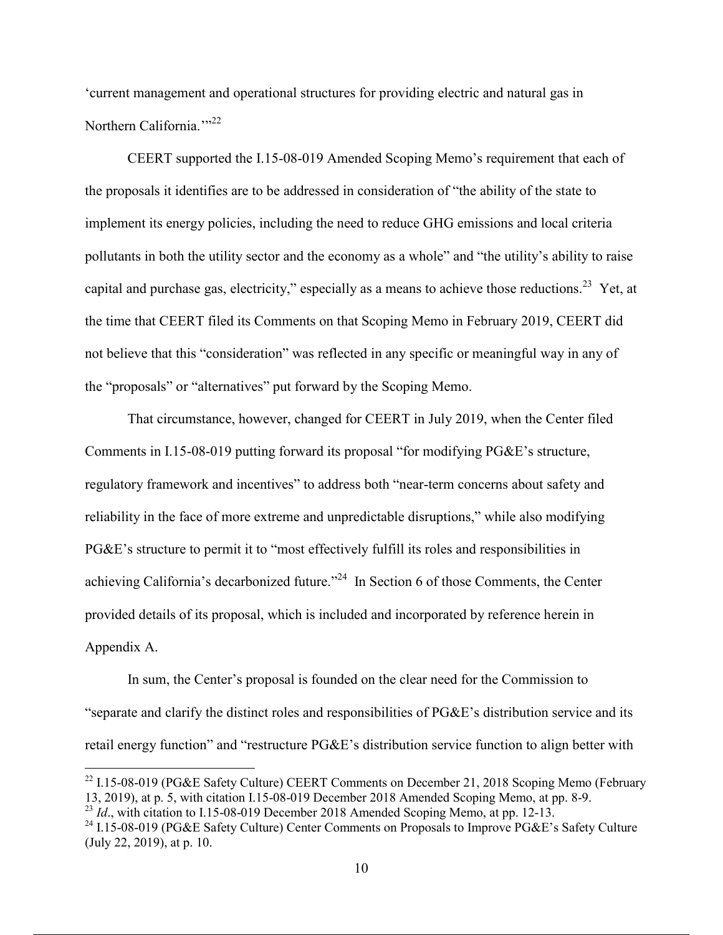'current management and operational structures for providing electric and natural gas in Northern California."<sup>22</sup>

CEERT supported the I.15-08-019 Amended Scoping Memo's requirement that each of the proposals it identifies are to be addressed in consideration of "the ability of the state to implement its energy policies, including the need to reduce GHG emissions and local criteria pollutants in both the utility sector and the economy as a whole" and "the utility's ability to raise capital and purchase gas, electricity," especially as a means to achieve those reductions.<sup>23</sup> Yet, at the time that CEERT filed its Comments on that Scoping Memo in February 2019, CEERT did not believe that this "consideration" was reflected in any specific or meaningful way in any of the "proposals" or "alternatives" put forward by the Scoping Memo.

That circumstance, however, changed for CEERT in July 2019, when the Center filed Comments in I.15-08-019 putting forward its proposal "for modifying PG&E's structure, regulatory framework and incentives" to address both "near-term concerns about safety and reliability in the face of more extreme and unpredictable disruptions," while also modifying PG&E's structure to permit it to "most effectively fulfill its roles and responsibilities in achieving California's decarbonized future."<sup>24</sup> In Section 6 of those Comments, the Center provided details of its proposal, which is included and incorporated by reference herein in Appendix A.

In sum, the Center's proposal is founded on the clear need for the Commission to "separate and clarify the distinct roles and responsibilities of PG&E's distribution service and its retail energy function" and "restructure PG&E's distribution service function to align better with

 $^{22}$  I.15-08-019 (PG&E Safety Culture) CEERT Comments on December 21, 2018 Scoping Memo (February 13, 2019), at p. 5, with citation I.15-08-019 December 2018 Amended Scoping Memo, at pp. 8-9. <sup>23</sup> *Id.*, with citation to I.15-08-019 December 2018 Amended Scoping Memo, at pp. 12-13.

<sup>&</sup>lt;sup>24</sup> I.15-08-019 (PG&E Safety Culture) Center Comments on Proposals to Improve PG&E's Safety Culture (July 22, 2019), at p. 10.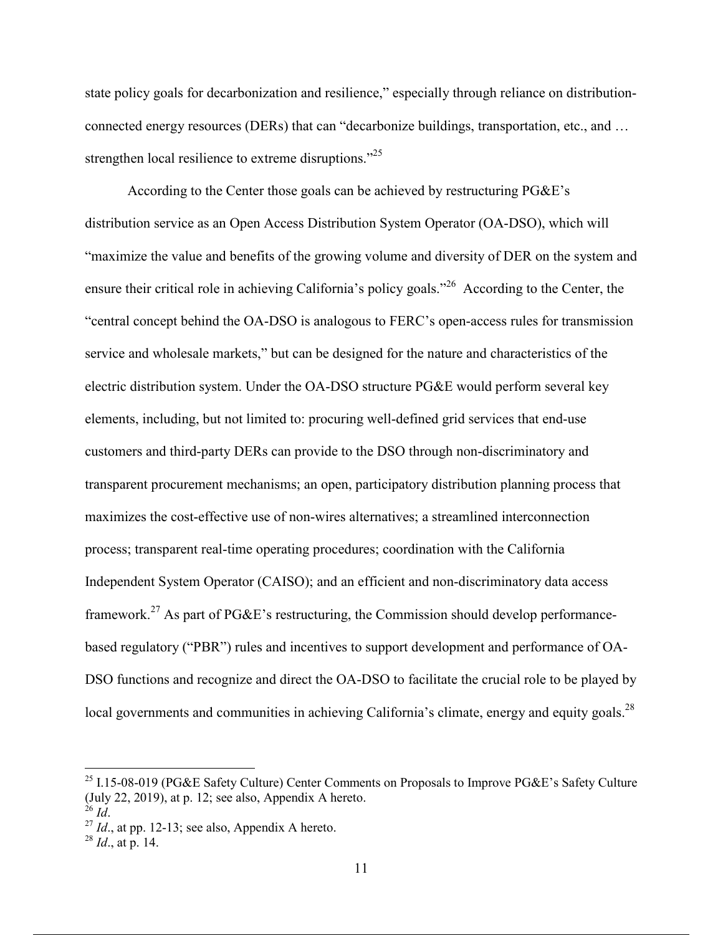state policy goals for decarbonization and resilience," especially through reliance on distributionconnected energy resources (DERs) that can "decarbonize buildings, transportation, etc., and … strengthen local resilience to extreme disruptions.<sup>"25</sup>

According to the Center those goals can be achieved by restructuring PG&E's distribution service as an Open Access Distribution System Operator (OA-DSO), which will "maximize the value and benefits of the growing volume and diversity of DER on the system and ensure their critical role in achieving California's policy goals."26 According to the Center, the "central concept behind the OA-DSO is analogous to FERC's open-access rules for transmission service and wholesale markets," but can be designed for the nature and characteristics of the electric distribution system. Under the OA-DSO structure PG&E would perform several key elements, including, but not limited to: procuring well-defined grid services that end-use customers and third-party DERs can provide to the DSO through non-discriminatory and transparent procurement mechanisms; an open, participatory distribution planning process that maximizes the cost-effective use of non-wires alternatives; a streamlined interconnection process; transparent real-time operating procedures; coordination with the California Independent System Operator (CAISO); and an efficient and non-discriminatory data access framework.<sup>27</sup> As part of PG&E's restructuring, the Commission should develop performancebased regulatory ("PBR") rules and incentives to support development and performance of OA-DSO functions and recognize and direct the OA-DSO to facilitate the crucial role to be played by local governments and communities in achieving California's climate, energy and equity goals.<sup>28</sup>

<sup>&</sup>lt;sup>25</sup> I.15-08-019 (PG&E Safety Culture) Center Comments on Proposals to Improve PG&E's Safety Culture (July 22, 2019), at p. 12; see also, Appendix A hereto.  $\frac{26}{1d}$ .<br><sup>27</sup> *Id.*, at pp. 12-13; see also, Appendix A hereto. <sup>28</sup> *Id.*, at p. 14.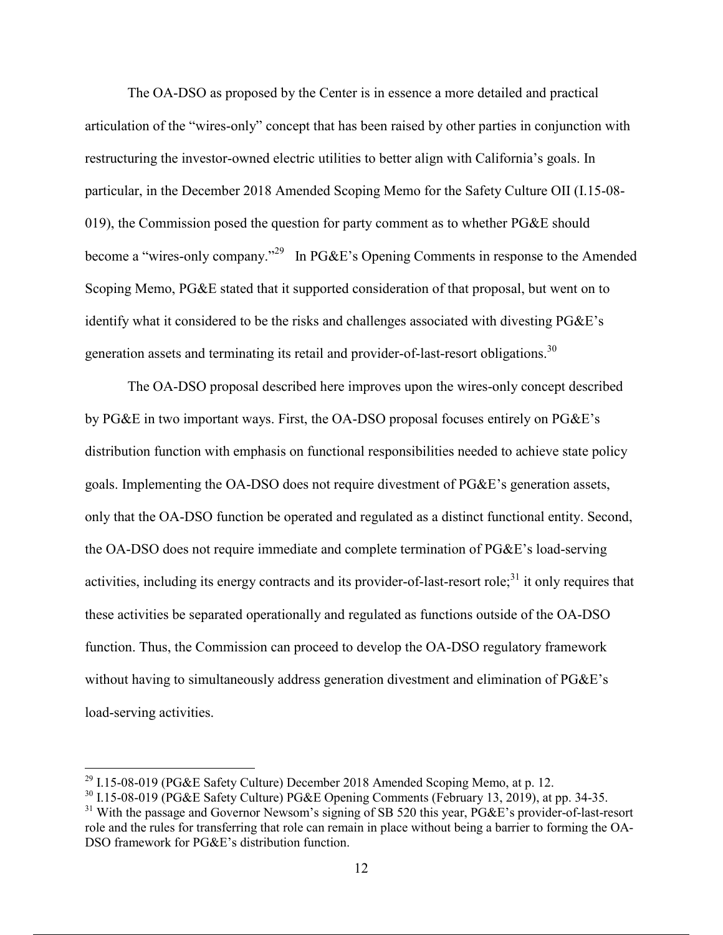The OA-DSO as proposed by the Center is in essence a more detailed and practical articulation of the "wires-only" concept that has been raised by other parties in conjunction with restructuring the investor-owned electric utilities to better align with California's goals. In particular, in the December 2018 Amended Scoping Memo for the Safety Culture OII (I.15-08- 019), the Commission posed the question for party comment as to whether PG&E should become a "wires-only company."<sup>29</sup> In PG&E's Opening Comments in response to the Amended Scoping Memo, PG&E stated that it supported consideration of that proposal, but went on to identify what it considered to be the risks and challenges associated with divesting PG&E's generation assets and terminating its retail and provider-of-last-resort obligations.<sup>30</sup>

The OA-DSO proposal described here improves upon the wires-only concept described by PG&E in two important ways. First, the OA-DSO proposal focuses entirely on PG&E's distribution function with emphasis on functional responsibilities needed to achieve state policy goals. Implementing the OA-DSO does not require divestment of PG&E's generation assets, only that the OA-DSO function be operated and regulated as a distinct functional entity. Second, the OA-DSO does not require immediate and complete termination of PG&E's load-serving activities, including its energy contracts and its provider-of-last-resort role;<sup>31</sup> it only requires that these activities be separated operationally and regulated as functions outside of the OA-DSO function. Thus, the Commission can proceed to develop the OA-DSO regulatory framework without having to simultaneously address generation divestment and elimination of PG&E's load-serving activities.

<sup>&</sup>lt;sup>29</sup> I.15-08-019 (PG&E Safety Culture) December 2018 Amended Scoping Memo, at p. 12.<br><sup>30</sup> I.15-08-019 (PG&E Safety Culture) PG&E Opening Comments (February 13, 2019), at pp. 34-35.

<sup>&</sup>lt;sup>31</sup> With the passage and Governor Newsom's signing of SB 520 this year, PG&E's provider-of-last-resort role and the rules for transferring that role can remain in place without being a barrier to forming the OA-DSO framework for PG&E's distribution function.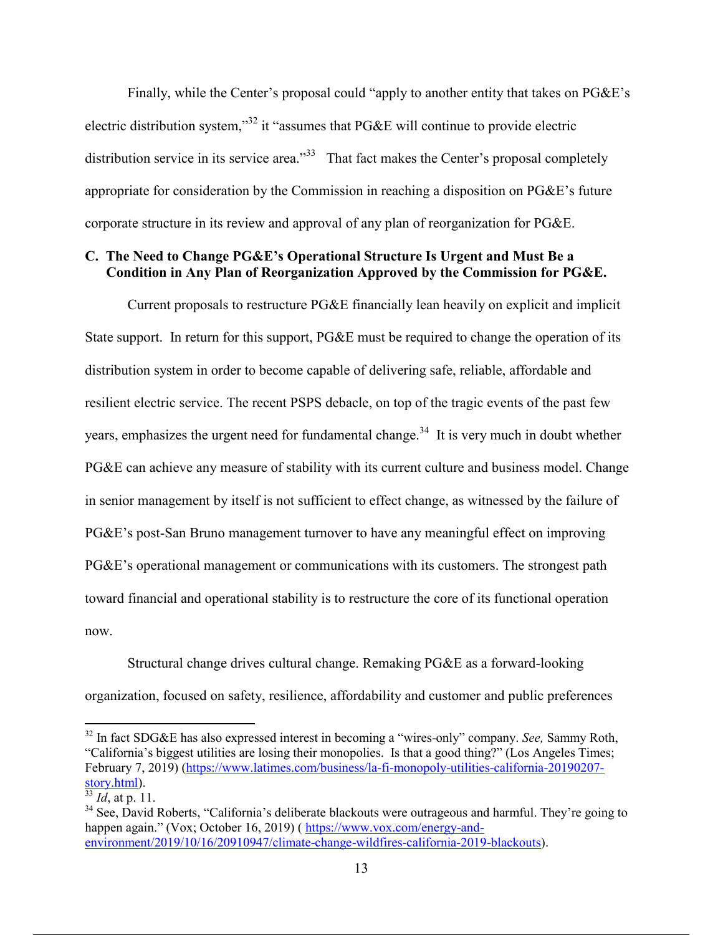Finally, while the Center's proposal could "apply to another entity that takes on PG&E's electric distribution system,"32 it "assumes that PG&E will continue to provide electric distribution service in its service area." $33\overline{3}$  That fact makes the Center's proposal completely appropriate for consideration by the Commission in reaching a disposition on PG&E's future corporate structure in its review and approval of any plan of reorganization for PG&E.

# **C. The Need to Change PG&E's Operational Structure Is Urgent and Must Be a Condition in Any Plan of Reorganization Approved by the Commission for PG&E.**

Current proposals to restructure PG&E financially lean heavily on explicit and implicit State support. In return for this support, PG&E must be required to change the operation of its distribution system in order to become capable of delivering safe, reliable, affordable and resilient electric service. The recent PSPS debacle, on top of the tragic events of the past few years, emphasizes the urgent need for fundamental change.<sup>34</sup> It is very much in doubt whether PG&E can achieve any measure of stability with its current culture and business model. Change in senior management by itself is not sufficient to effect change, as witnessed by the failure of PG&E's post-San Bruno management turnover to have any meaningful effect on improving PG&E's operational management or communications with its customers. The strongest path toward financial and operational stability is to restructure the core of its functional operation now.

Structural change drives cultural change. Remaking PG&E as a forward-looking organization, focused on safety, resilience, affordability and customer and public preferences

 <sup>32</sup> In fact SDG&E has also expressed interest in becoming a "wires-only" company. *See,* Sammy Roth, "California's biggest utilities are losing their monopolies. Is that a good thing?" (Los Angeles Times; February 7, 2019) (https://www.latimes.com/business/la-fi-monopoly-utilities-california-20190207-<br>story.html).

 $\frac{33}{33}$ *Id*, at p. 11.

 $34$  See, David Roberts, "California's deliberate blackouts were outrageous and harmful. They're going to happen again." (Vox; October 16, 2019) (https://www.vox.com/energy-andenvironment/2019/10/16/20910947/climate-change-wildfires-california-2019-blackouts).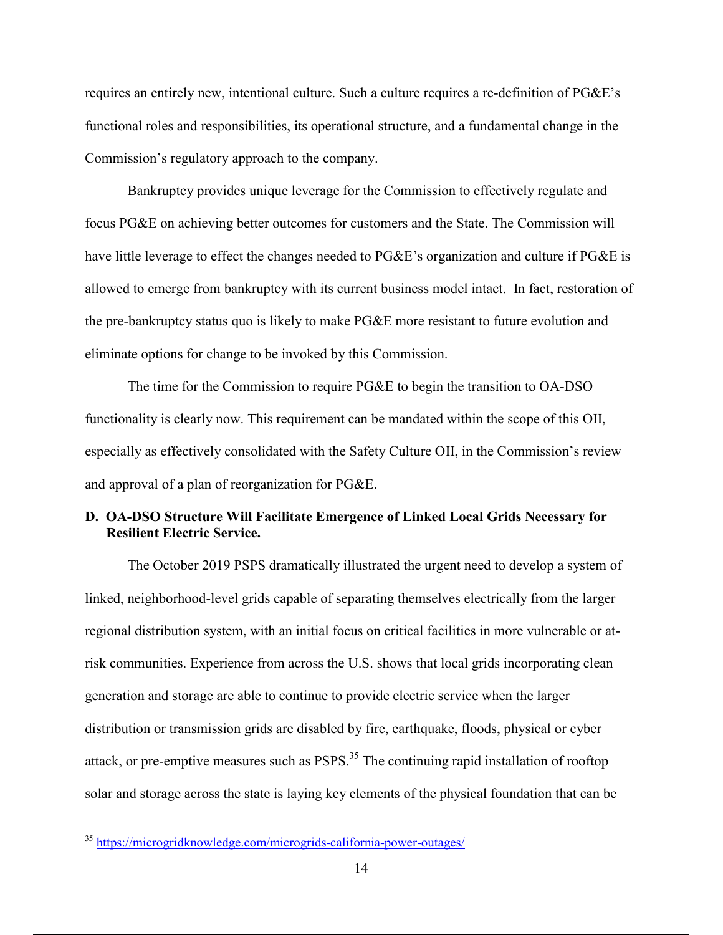requires an entirely new, intentional culture. Such a culture requires a re-definition of PG&E's functional roles and responsibilities, its operational structure, and a fundamental change in the Commission's regulatory approach to the company.

Bankruptcy provides unique leverage for the Commission to effectively regulate and focus PG&E on achieving better outcomes for customers and the State. The Commission will have little leverage to effect the changes needed to PG&E's organization and culture if PG&E is allowed to emerge from bankruptcy with its current business model intact. In fact, restoration of the pre-bankruptcy status quo is likely to make PG&E more resistant to future evolution and eliminate options for change to be invoked by this Commission.

The time for the Commission to require PG&E to begin the transition to OA-DSO functionality is clearly now. This requirement can be mandated within the scope of this OII, especially as effectively consolidated with the Safety Culture OII, in the Commission's review and approval of a plan of reorganization for PG&E.

# **D. OA-DSO Structure Will Facilitate Emergence of Linked Local Grids Necessary for Resilient Electric Service.**

The October 2019 PSPS dramatically illustrated the urgent need to develop a system of linked, neighborhood-level grids capable of separating themselves electrically from the larger regional distribution system, with an initial focus on critical facilities in more vulnerable or atrisk communities. Experience from across the U.S. shows that local grids incorporating clean generation and storage are able to continue to provide electric service when the larger distribution or transmission grids are disabled by fire, earthquake, floods, physical or cyber attack, or pre-emptive measures such as PSPS.<sup>35</sup> The continuing rapid installation of rooftop solar and storage across the state is laying key elements of the physical foundation that can be

 <sup>35</sup> https://microgridknowledge.com/microgrids-california-power-outages/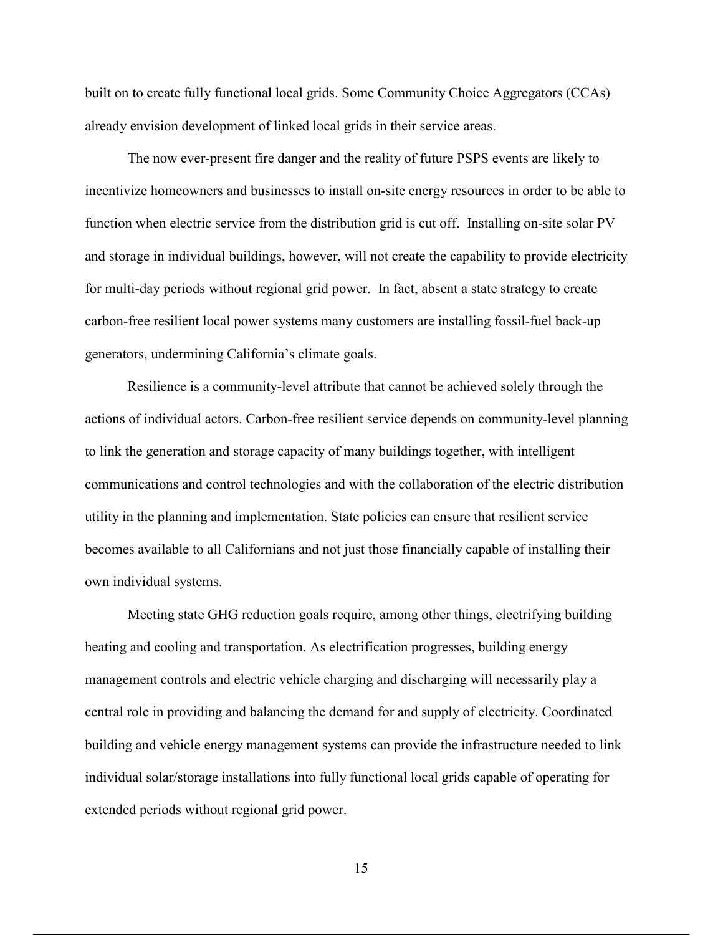built on to create fully functional local grids. Some Community Choice Aggregators (CCAs) already envision development of linked local grids in their service areas.

The now ever-present fire danger and the reality of future PSPS events are likely to incentivize homeowners and businesses to install on-site energy resources in order to be able to function when electric service from the distribution grid is cut off. Installing on-site solar PV and storage in individual buildings, however, will not create the capability to provide electricity for multi-day periods without regional grid power. In fact, absent a state strategy to create carbon-free resilient local power systems many customers are installing fossil-fuel back-up generators, undermining California's climate goals.

Resilience is a community-level attribute that cannot be achieved solely through the actions of individual actors. Carbon-free resilient service depends on community-level planning to link the generation and storage capacity of many buildings together, with intelligent communications and control technologies and with the collaboration of the electric distribution utility in the planning and implementation. State policies can ensure that resilient service becomes available to all Californians and not just those financially capable of installing their own individual systems.

Meeting state GHG reduction goals require, among other things, electrifying building heating and cooling and transportation. As electrification progresses, building energy management controls and electric vehicle charging and discharging will necessarily play a central role in providing and balancing the demand for and supply of electricity. Coordinated building and vehicle energy management systems can provide the infrastructure needed to link individual solar/storage installations into fully functional local grids capable of operating for extended periods without regional grid power.

15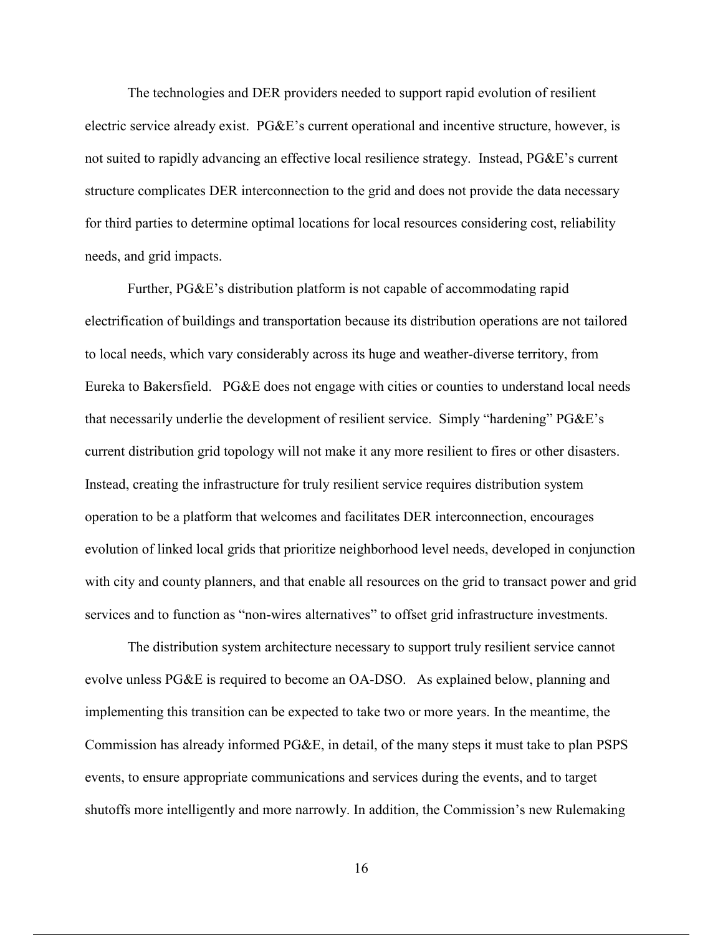The technologies and DER providers needed to support rapid evolution of resilient electric service already exist. PG&E's current operational and incentive structure, however, is not suited to rapidly advancing an effective local resilience strategy. Instead, PG&E's current structure complicates DER interconnection to the grid and does not provide the data necessary for third parties to determine optimal locations for local resources considering cost, reliability needs, and grid impacts.

Further, PG&E's distribution platform is not capable of accommodating rapid electrification of buildings and transportation because its distribution operations are not tailored to local needs, which vary considerably across its huge and weather-diverse territory, from Eureka to Bakersfield. PG&E does not engage with cities or counties to understand local needs that necessarily underlie the development of resilient service. Simply "hardening" PG&E's current distribution grid topology will not make it any more resilient to fires or other disasters. Instead, creating the infrastructure for truly resilient service requires distribution system operation to be a platform that welcomes and facilitates DER interconnection, encourages evolution of linked local grids that prioritize neighborhood level needs, developed in conjunction with city and county planners, and that enable all resources on the grid to transact power and grid services and to function as "non-wires alternatives" to offset grid infrastructure investments.

The distribution system architecture necessary to support truly resilient service cannot evolve unless PG&E is required to become an OA-DSO. As explained below, planning and implementing this transition can be expected to take two or more years. In the meantime, the Commission has already informed PG&E, in detail, of the many steps it must take to plan PSPS events, to ensure appropriate communications and services during the events, and to target shutoffs more intelligently and more narrowly. In addition, the Commission's new Rulemaking

16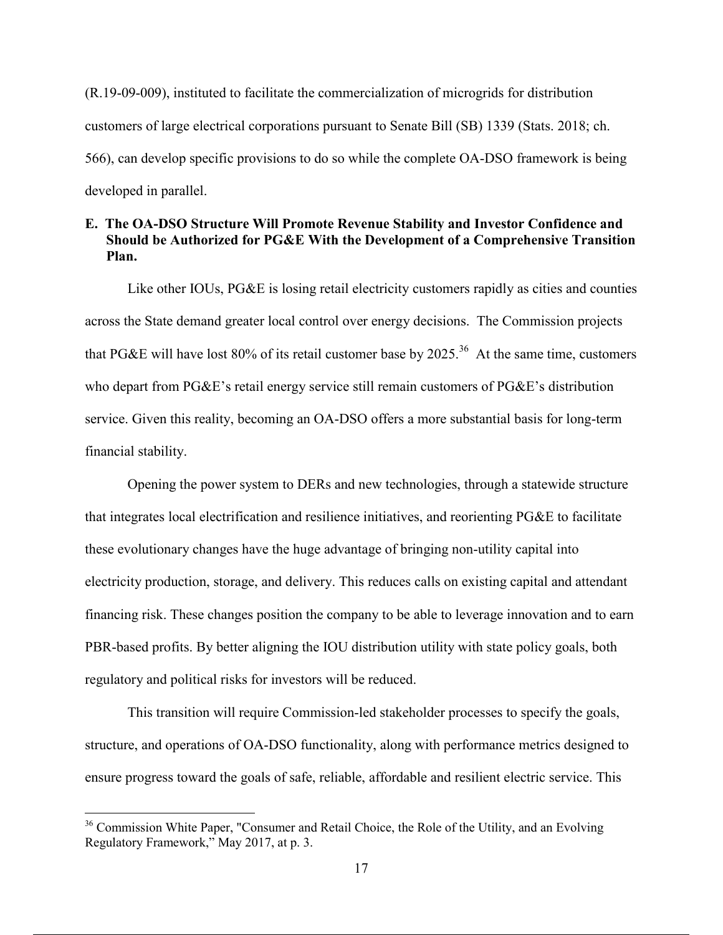(R.19-09-009), instituted to facilitate the commercialization of microgrids for distribution customers of large electrical corporations pursuant to Senate Bill (SB) 1339 (Stats. 2018; ch. 566), can develop specific provisions to do so while the complete OA-DSO framework is being developed in parallel.

# **E. The OA-DSO Structure Will Promote Revenue Stability and Investor Confidence and Should be Authorized for PG&E With the Development of a Comprehensive Transition Plan.**

Like other IOUs, PG&E is losing retail electricity customers rapidly as cities and counties across the State demand greater local control over energy decisions. The Commission projects that PG&E will have lost 80% of its retail customer base by 2025.<sup>36</sup> At the same time, customers who depart from PG&E's retail energy service still remain customers of PG&E's distribution service. Given this reality, becoming an OA-DSO offers a more substantial basis for long-term financial stability.

Opening the power system to DERs and new technologies, through a statewide structure that integrates local electrification and resilience initiatives, and reorienting PG&E to facilitate these evolutionary changes have the huge advantage of bringing non-utility capital into electricity production, storage, and delivery. This reduces calls on existing capital and attendant financing risk. These changes position the company to be able to leverage innovation and to earn PBR-based profits. By better aligning the IOU distribution utility with state policy goals, both regulatory and political risks for investors will be reduced.

This transition will require Commission-led stakeholder processes to specify the goals, structure, and operations of OA-DSO functionality, along with performance metrics designed to ensure progress toward the goals of safe, reliable, affordable and resilient electric service. This

<sup>&</sup>lt;sup>36</sup> Commission White Paper, "Consumer and Retail Choice, the Role of the Utility, and an Evolving Regulatory Framework," May 2017, at p. 3.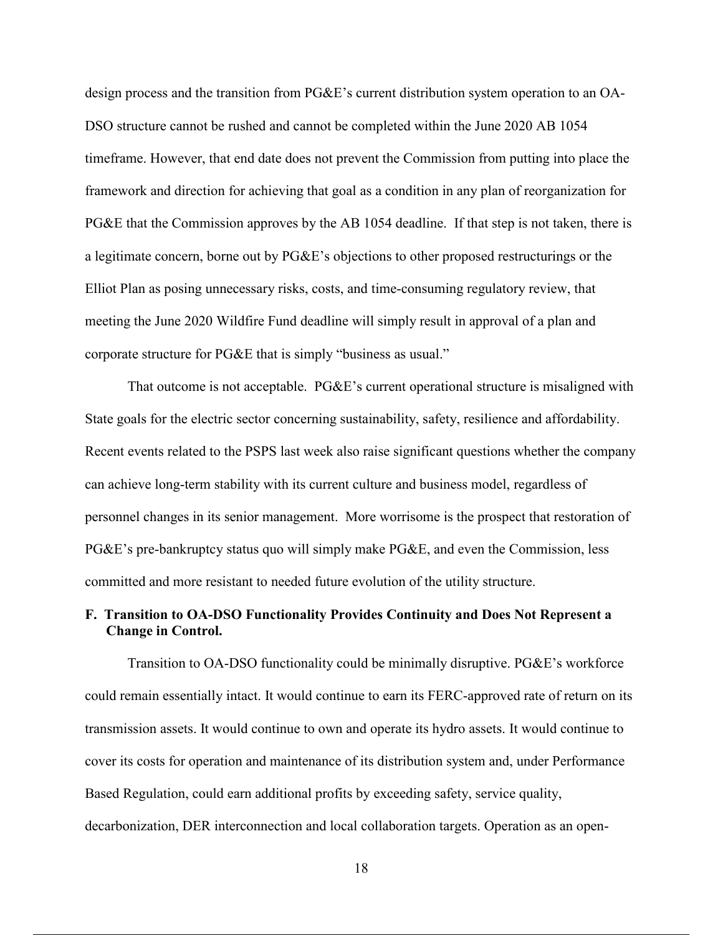design process and the transition from PG&E's current distribution system operation to an OA-DSO structure cannot be rushed and cannot be completed within the June 2020 AB 1054 timeframe. However, that end date does not prevent the Commission from putting into place the framework and direction for achieving that goal as a condition in any plan of reorganization for PG&E that the Commission approves by the AB 1054 deadline. If that step is not taken, there is a legitimate concern, borne out by PG&E's objections to other proposed restructurings or the Elliot Plan as posing unnecessary risks, costs, and time-consuming regulatory review, that meeting the June 2020 Wildfire Fund deadline will simply result in approval of a plan and corporate structure for PG&E that is simply "business as usual."

That outcome is not acceptable. PG&E's current operational structure is misaligned with State goals for the electric sector concerning sustainability, safety, resilience and affordability. Recent events related to the PSPS last week also raise significant questions whether the company can achieve long-term stability with its current culture and business model, regardless of personnel changes in its senior management. More worrisome is the prospect that restoration of PG&E's pre-bankruptcy status quo will simply make PG&E, and even the Commission, less committed and more resistant to needed future evolution of the utility structure.

# **F. Transition to OA-DSO Functionality Provides Continuity and Does Not Represent a Change in Control.**

Transition to OA-DSO functionality could be minimally disruptive. PG&E's workforce could remain essentially intact. It would continue to earn its FERC-approved rate of return on its transmission assets. It would continue to own and operate its hydro assets. It would continue to cover its costs for operation and maintenance of its distribution system and, under Performance Based Regulation, could earn additional profits by exceeding safety, service quality, decarbonization, DER interconnection and local collaboration targets. Operation as an open-

18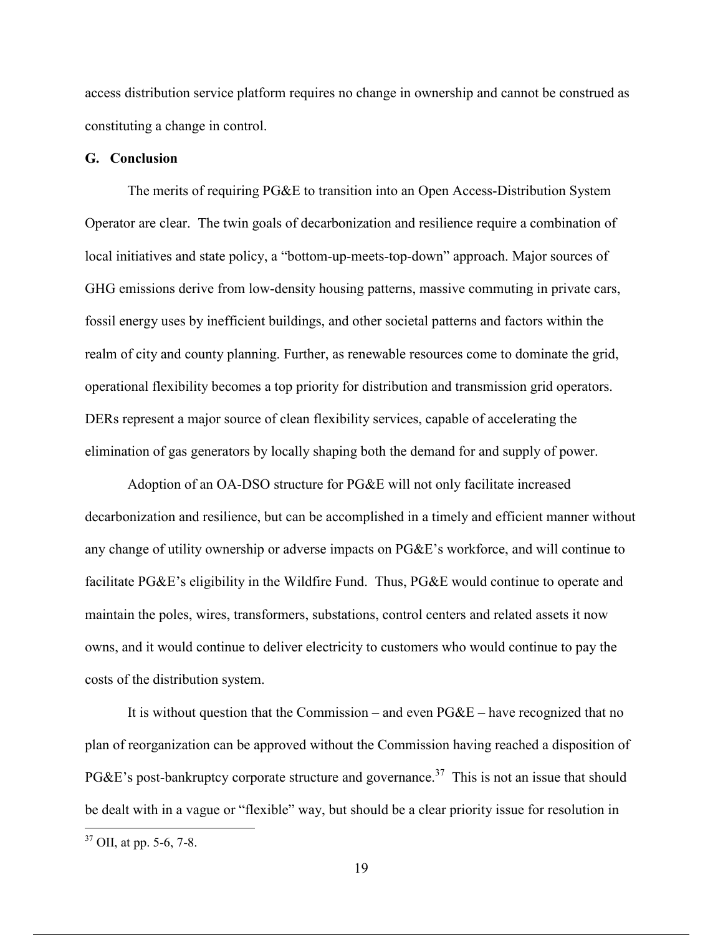access distribution service platform requires no change in ownership and cannot be construed as constituting a change in control.

#### **G. Conclusion**

The merits of requiring PG&E to transition into an Open Access-Distribution System Operator are clear. The twin goals of decarbonization and resilience require a combination of local initiatives and state policy, a "bottom-up-meets-top-down" approach. Major sources of GHG emissions derive from low-density housing patterns, massive commuting in private cars, fossil energy uses by inefficient buildings, and other societal patterns and factors within the realm of city and county planning. Further, as renewable resources come to dominate the grid, operational flexibility becomes a top priority for distribution and transmission grid operators. DERs represent a major source of clean flexibility services, capable of accelerating the elimination of gas generators by locally shaping both the demand for and supply of power.

Adoption of an OA-DSO structure for PG&E will not only facilitate increased decarbonization and resilience, but can be accomplished in a timely and efficient manner without any change of utility ownership or adverse impacts on PG&E's workforce, and will continue to facilitate PG&E's eligibility in the Wildfire Fund. Thus, PG&E would continue to operate and maintain the poles, wires, transformers, substations, control centers and related assets it now owns, and it would continue to deliver electricity to customers who would continue to pay the costs of the distribution system.

It is without question that the Commission – and even  $P G \& E$  – have recognized that no plan of reorganization can be approved without the Commission having reached a disposition of PG&E's post-bankruptcy corporate structure and governance.<sup>37</sup> This is not an issue that should be dealt with in a vague or "flexible" way, but should be a clear priority issue for resolution in

 $37$  OII, at pp. 5-6, 7-8.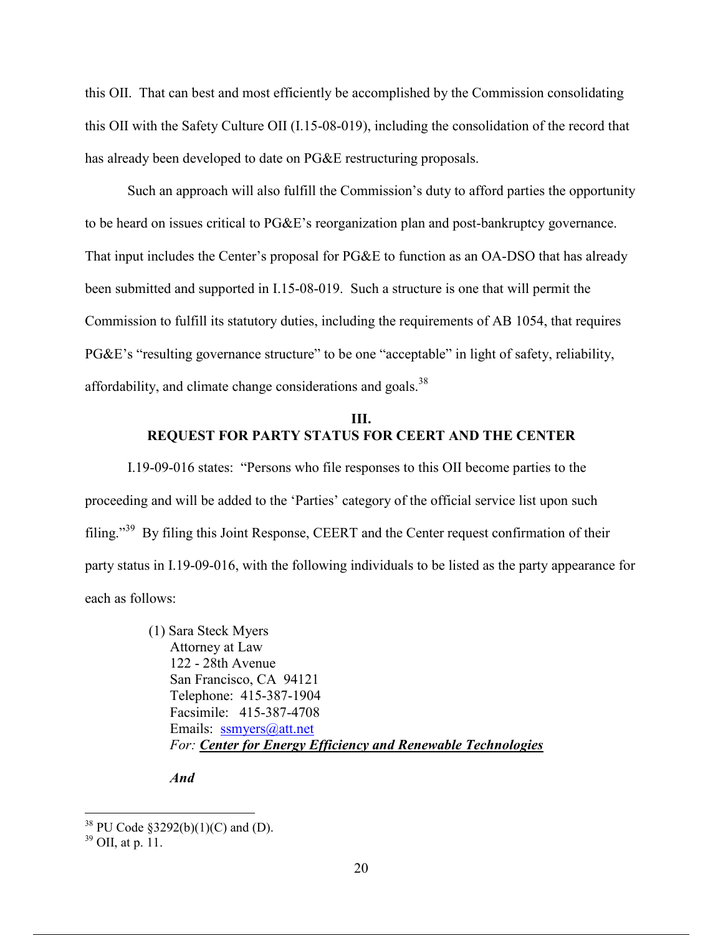this OII. That can best and most efficiently be accomplished by the Commission consolidating this OII with the Safety Culture OII (I.15-08-019), including the consolidation of the record that has already been developed to date on PG&E restructuring proposals.

Such an approach will also fulfill the Commission's duty to afford parties the opportunity to be heard on issues critical to PG&E's reorganization plan and post-bankruptcy governance. That input includes the Center's proposal for PG&E to function as an OA-DSO that has already been submitted and supported in I.15-08-019. Such a structure is one that will permit the Commission to fulfill its statutory duties, including the requirements of AB 1054, that requires PG&E's "resulting governance structure" to be one "acceptable" in light of safety, reliability, affordability, and climate change considerations and goals.<sup>38</sup>

## **III. REQUEST FOR PARTY STATUS FOR CEERT AND THE CENTER**

I.19-09-016 states: "Persons who file responses to this OII become parties to the proceeding and will be added to the 'Parties' category of the official service list upon such filing."39 By filing this Joint Response, CEERT and the Center request confirmation of their party status in I.19-09-016, with the following individuals to be listed as the party appearance for each as follows:

> (1) Sara Steck Myers Attorney at Law 122 - 28th Avenue San Francisco, CA 94121 Telephone: 415-387-1904 Facsimile: 415-387-4708 Emails: ssmyers@att.net *For: Center for Energy Efficiency and Renewable Technologies*

*And*

<sup>&</sup>lt;sup>38</sup> PU Code §3292(b)(1)(C) and (D).

 $39$  OII, at p. 11.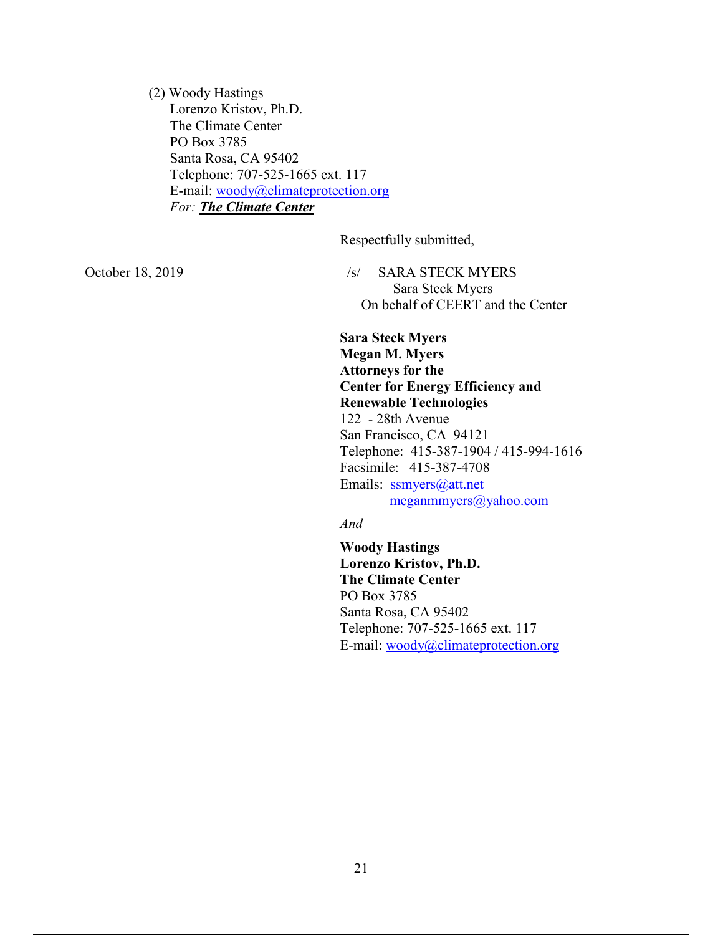(2) Woody Hastings Lorenzo Kristov, Ph.D. The Climate Center PO Box 3785 Santa Rosa, CA 95402 Telephone: 707-525-1665 ext. 117 E-mail: woody@climateprotection.org *For: The Climate Center* 

Respectfully submitted,

October 18, 2019 /s/ SARA STECK MYERS

 Sara Steck Myers On behalf of CEERT and the Center

**Sara Steck Myers Megan M. Myers Attorneys for the Center for Energy Efficiency and Renewable Technologies** 122 - 28th Avenue San Francisco, CA 94121 Telephone: 415-387-1904 / 415-994-1616 Facsimile: 415-387-4708 Emails: ssmyers@att.net meganmmyers@yahoo.com

*And*

**Woody Hastings Lorenzo Kristov, Ph.D. The Climate Center** PO Box 3785 Santa Rosa, CA 95402 Telephone: 707-525-1665 ext. 117 E-mail: woody@climateprotection.org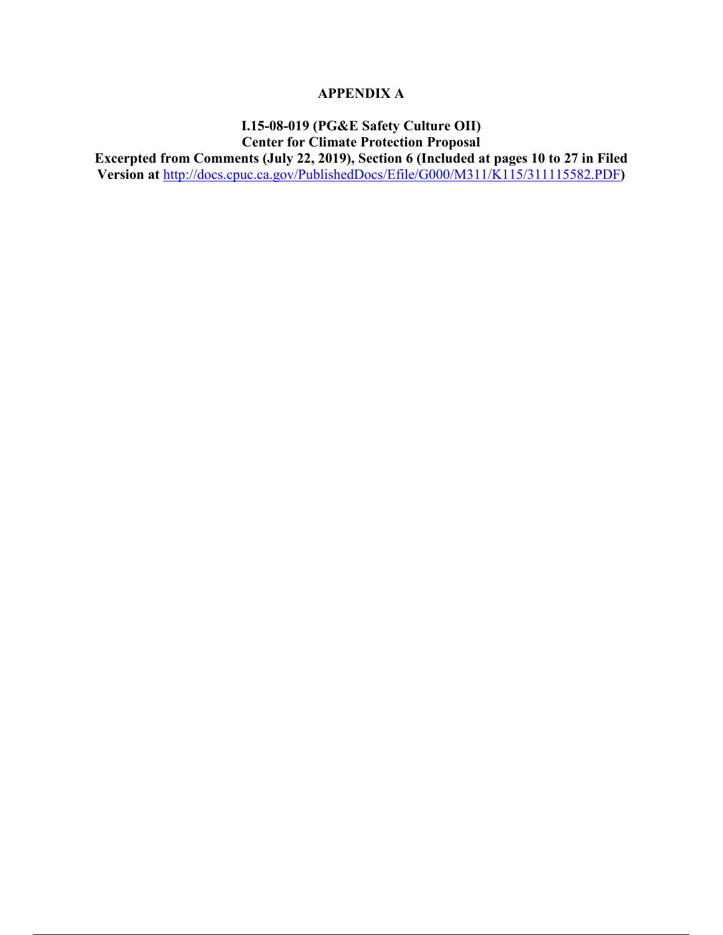# **APPENDIX A**

# **I.15-08-019 (PG&E Safety Culture OII) Center for Climate Protection Proposal**

**Excerpted from Comments (July 22, 2019), Section 6 (Included at pages 10 to 27 in Filed Version at** http://docs.cpuc.ca.gov/PublishedDocs/Efile/G000/M311/K115/311115582.PDF**)**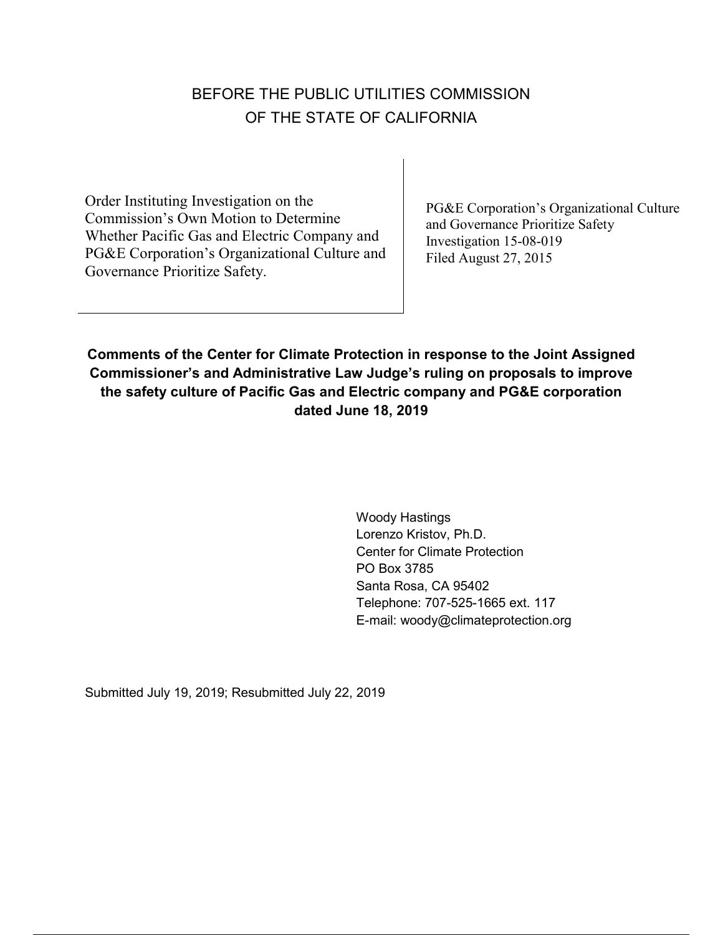# BEFORE THE PUBLIC UTILITIES COMMISSION OF THE STATE OF CALIFORNIA

Order Instituting Investigation on the Commission's Own Motion to Determine Whether Pacific Gas and Electric Company and PG&E Corporation's Organizational Culture and Governance Prioritize Safety.

PG&E Corporation's Organizational Culture and Governance Prioritize Safety Investigation 15-08-019 Filed August 27, 2015

**Comments of the Center for Climate Protection in response to the Joint Assigned Commissioner's and Administrative Law Judge's ruling on proposals to improve the safety culture of Pacific Gas and Electric company and PG&E corporation dated June 18, 2019**

> Woody Hastings Lorenzo Kristov, Ph.D. Center for Climate Protection PO Box 3785 Santa Rosa, CA 95402 Telephone: 707-525-1665 ext. 117 E-mail: woody@climateprotection.org

Submitted July 19, 2019; Resubmitted July 22, 2019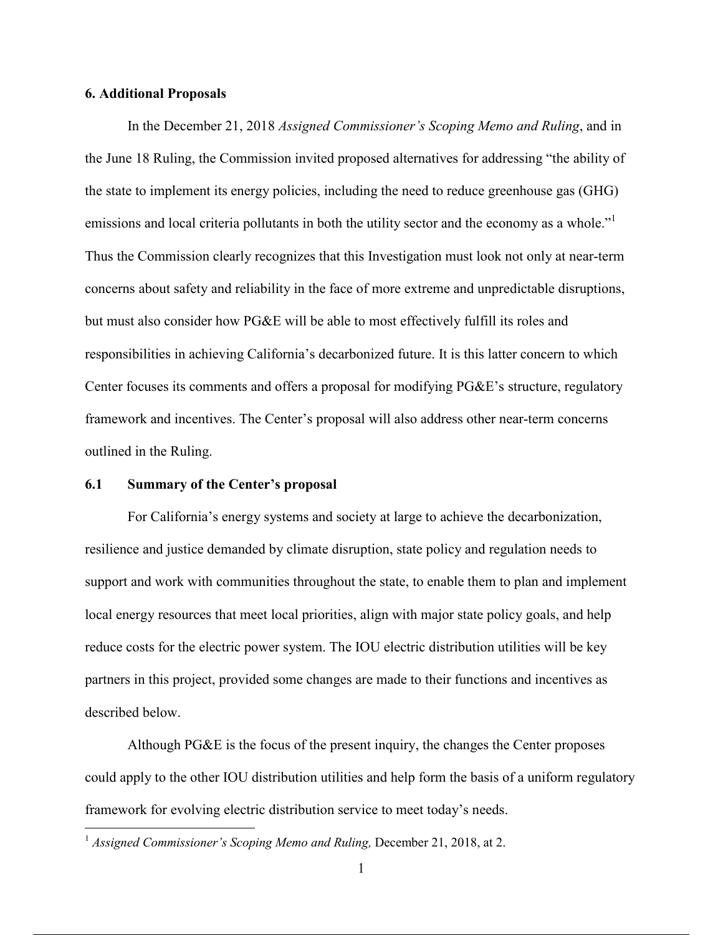#### **6. Additional Proposals**

In the December 21, 2018 *Assigned Commissioner's Scoping Memo and Ruling*, and in the June 18 Ruling, the Commission invited proposed alternatives for addressing "the ability of the state to implement its energy policies, including the need to reduce greenhouse gas (GHG) emissions and local criteria pollutants in both the utility sector and the economy as a whole." Thus the Commission clearly recognizes that this Investigation must look not only at near-term concerns about safety and reliability in the face of more extreme and unpredictable disruptions, but must also consider how PG&E will be able to most effectively fulfill its roles and responsibilities in achieving California's decarbonized future. It is this latter concern to which Center focuses its comments and offers a proposal for modifying PG&E's structure, regulatory framework and incentives. The Center's proposal will also address other near-term concerns outlined in the Ruling.

#### **6.1 Summary of the Center's proposal**

For California's energy systems and society at large to achieve the decarbonization, resilience and justice demanded by climate disruption, state policy and regulation needs to support and work with communities throughout the state, to enable them to plan and implement local energy resources that meet local priorities, align with major state policy goals, and help reduce costs for the electric power system. The IOU electric distribution utilities will be key partners in this project, provided some changes are made to their functions and incentives as described below.

Although PG&E is the focus of the present inquiry, the changes the Center proposes could apply to the other IOU distribution utilities and help form the basis of a uniform regulatory framework for evolving electric distribution service to meet today's needs.

<sup>&</sup>lt;sup>1</sup> *Assigned Commissioner's Scoping Memo and Ruling, December 21, 2018, at 2.*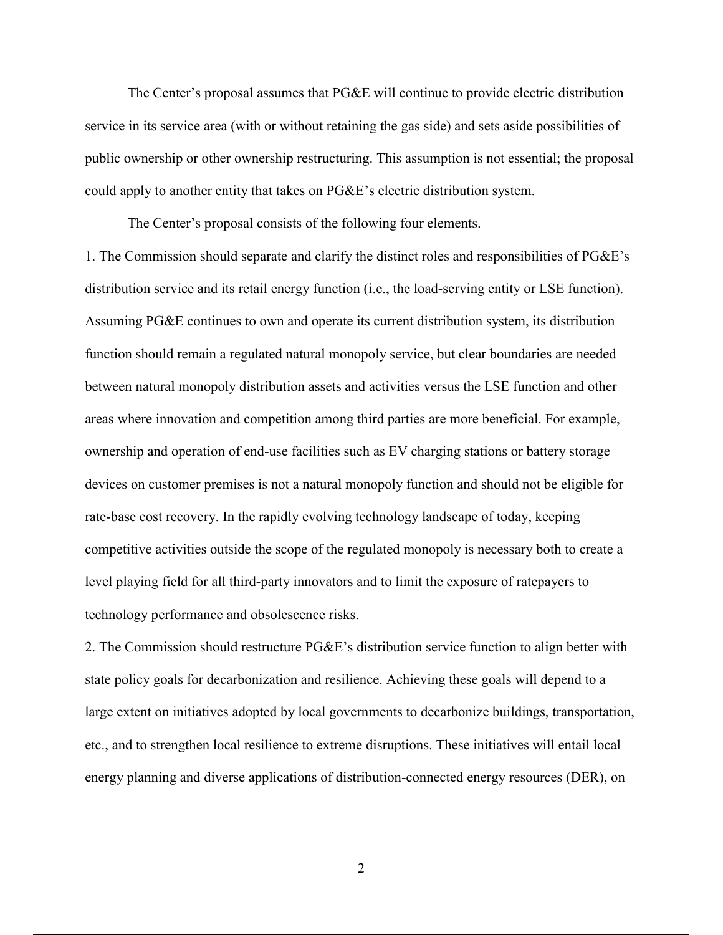The Center's proposal assumes that PG&E will continue to provide electric distribution service in its service area (with or without retaining the gas side) and sets aside possibilities of public ownership or other ownership restructuring. This assumption is not essential; the proposal could apply to another entity that takes on PG&E's electric distribution system.

The Center's proposal consists of the following four elements.

1. The Commission should separate and clarify the distinct roles and responsibilities of PG&E's distribution service and its retail energy function (i.e., the load-serving entity or LSE function). Assuming PG&E continues to own and operate its current distribution system, its distribution function should remain a regulated natural monopoly service, but clear boundaries are needed between natural monopoly distribution assets and activities versus the LSE function and other areas where innovation and competition among third parties are more beneficial. For example, ownership and operation of end-use facilities such as EV charging stations or battery storage devices on customer premises is not a natural monopoly function and should not be eligible for rate-base cost recovery. In the rapidly evolving technology landscape of today, keeping competitive activities outside the scope of the regulated monopoly is necessary both to create a level playing field for all third-party innovators and to limit the exposure of ratepayers to technology performance and obsolescence risks.

2. The Commission should restructure PG&E's distribution service function to align better with state policy goals for decarbonization and resilience. Achieving these goals will depend to a large extent on initiatives adopted by local governments to decarbonize buildings, transportation, etc., and to strengthen local resilience to extreme disruptions. These initiatives will entail local energy planning and diverse applications of distribution-connected energy resources (DER), on

2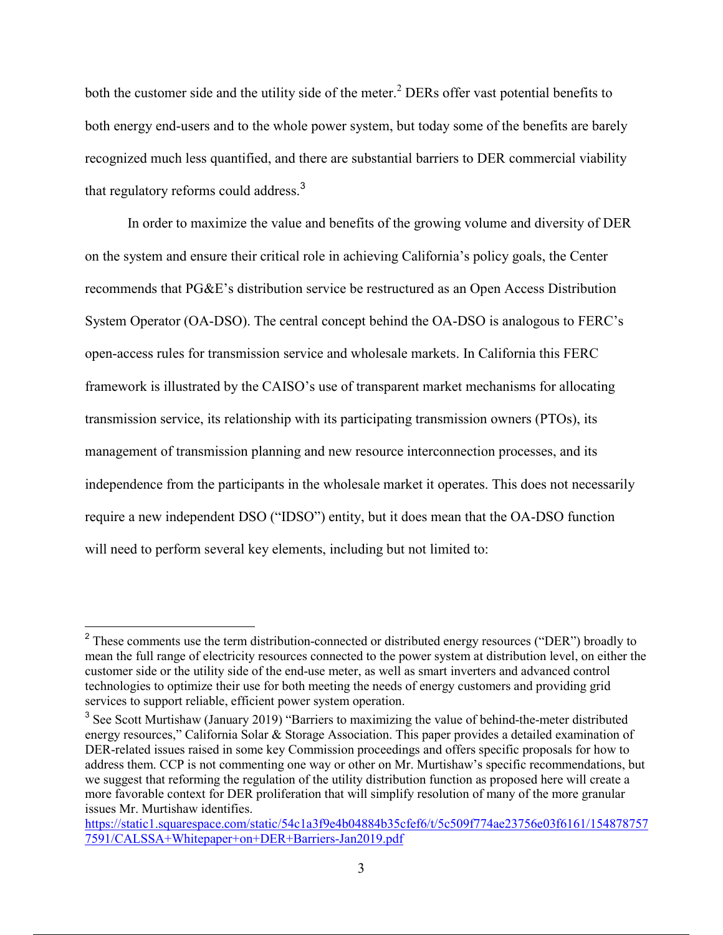both the customer side and the utility side of the meter.<sup>2</sup> DERs offer vast potential benefits to both energy end-users and to the whole power system, but today some of the benefits are barely recognized much less quantified, and there are substantial barriers to DER commercial viability that regulatory reforms could address.<sup>3</sup>

 In order to maximize the value and benefits of the growing volume and diversity of DER on the system and ensure their critical role in achieving California's policy goals, the Center recommends that PG&E's distribution service be restructured as an Open Access Distribution System Operator (OA-DSO). The central concept behind the OA-DSO is analogous to FERC's open-access rules for transmission service and wholesale markets. In California this FERC framework is illustrated by the CAISO's use of transparent market mechanisms for allocating transmission service, its relationship with its participating transmission owners (PTOs), its management of transmission planning and new resource interconnection processes, and its independence from the participants in the wholesale market it operates. This does not necessarily require a new independent DSO ("IDSO") entity, but it does mean that the OA-DSO function will need to perform several key elements, including but not limited to:

<sup>&</sup>lt;sup>2</sup> These comments use the term distribution-connected or distributed energy resources ("DER") broadly to mean the full range of electricity resources connected to the power system at distribution level, on either the customer side or the utility side of the end-use meter, as well as smart inverters and advanced control technologies to optimize their use for both meeting the needs of energy customers and providing grid services to support reliable, efficient power system operation.

<sup>&</sup>lt;sup>3</sup> See Scott Murtishaw (January 2019) "Barriers to maximizing the value of behind-the-meter distributed energy resources," California Solar & Storage Association. This paper provides a detailed examination of DER-related issues raised in some key Commission proceedings and offers specific proposals for how to address them. CCP is not commenting one way or other on Mr. Murtishaw's specific recommendations, but we suggest that reforming the regulation of the utility distribution function as proposed here will create a more favorable context for DER proliferation that will simplify resolution of many of the more granular issues Mr. Murtishaw identifies.

https://static1.squarespace.com/static/54c1a3f9e4b04884b35cfef6/t/5c509f774ae23756e03f6161/154878757 7591/CALSSA+Whitepaper+on+DER+Barriers-Jan2019.pdf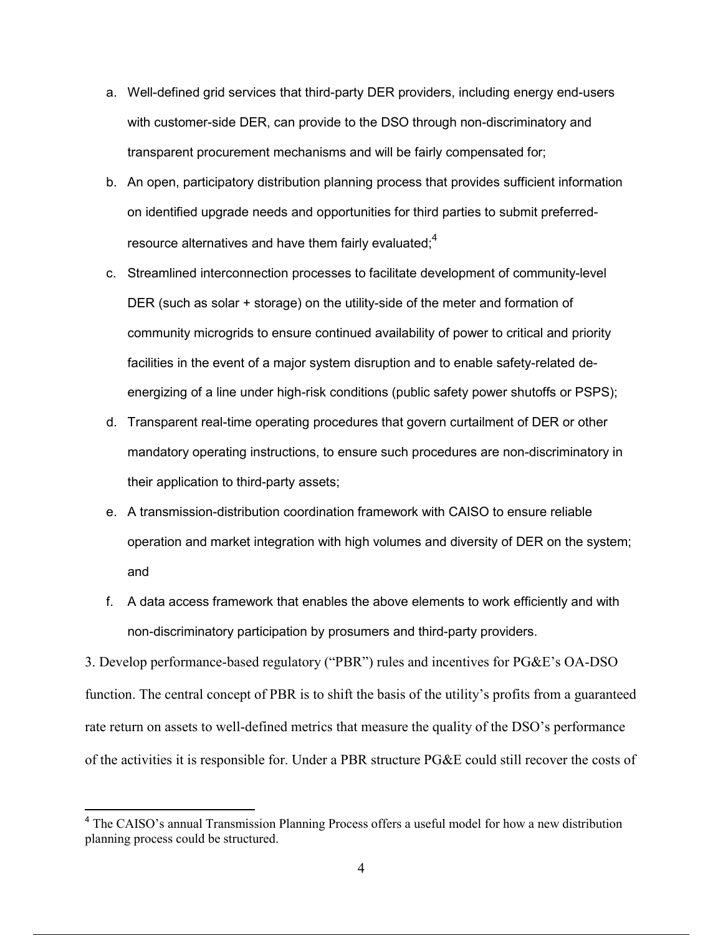- a. Well-defined grid services that third-party DER providers, including energy end-users with customer-side DER, can provide to the DSO through non-discriminatory and transparent procurement mechanisms and will be fairly compensated for;
- b. An open, participatory distribution planning process that provides sufficient information on identified upgrade needs and opportunities for third parties to submit preferredresource alternatives and have them fairly evaluated: $4$
- c. Streamlined interconnection processes to facilitate development of community-level DER (such as solar + storage) on the utility-side of the meter and formation of community microgrids to ensure continued availability of power to critical and priority facilities in the event of a major system disruption and to enable safety-related deenergizing of a line under high-risk conditions (public safety power shutoffs or PSPS);
- d. Transparent real-time operating procedures that govern curtailment of DER or other mandatory operating instructions, to ensure such procedures are non-discriminatory in their application to third-party assets;
- e. A transmission-distribution coordination framework with CAISO to ensure reliable operation and market integration with high volumes and diversity of DER on the system; and
- f. A data access framework that enables the above elements to work efficiently and with non-discriminatory participation by prosumers and third-party providers.

3. Develop performance-based regulatory ("PBR") rules and incentives for PG&E's OA-DSO function. The central concept of PBR is to shift the basis of the utility's profits from a guaranteed rate return on assets to well-defined metrics that measure the quality of the DSO's performance of the activities it is responsible for. Under a PBR structure PG&E could still recover the costs of

<sup>&</sup>lt;sup>4</sup> The CAISO's annual Transmission Planning Process offers a useful model for how a new distribution planning process could be structured.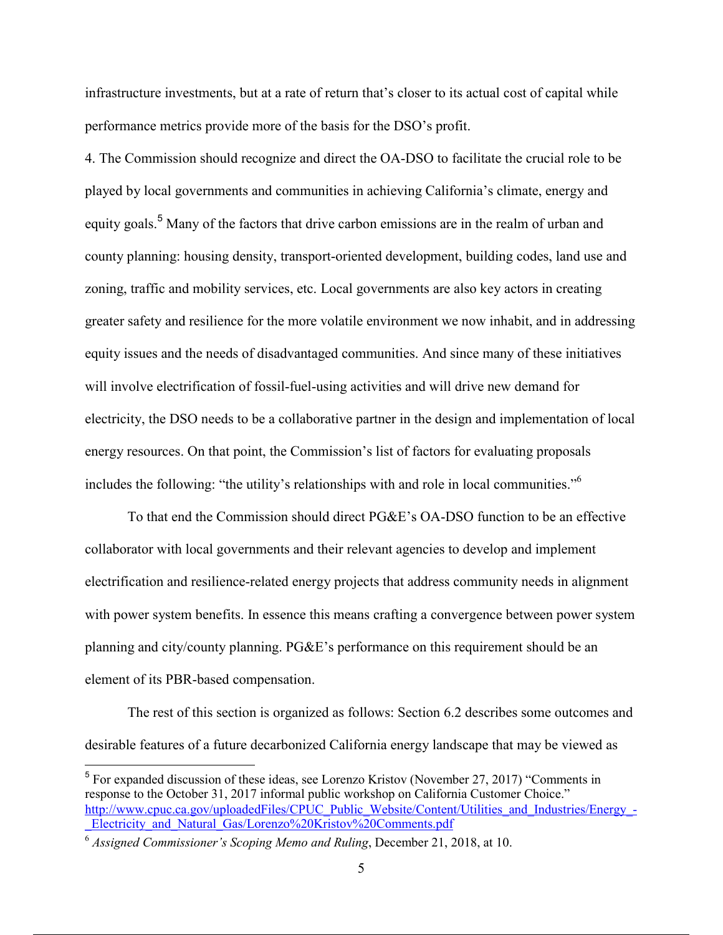infrastructure investments, but at a rate of return that's closer to its actual cost of capital while performance metrics provide more of the basis for the DSO's profit.

4. The Commission should recognize and direct the OA-DSO to facilitate the crucial role to be played by local governments and communities in achieving California's climate, energy and equity goals.<sup>5</sup> Many of the factors that drive carbon emissions are in the realm of urban and county planning: housing density, transport-oriented development, building codes, land use and zoning, traffic and mobility services, etc. Local governments are also key actors in creating greater safety and resilience for the more volatile environment we now inhabit, and in addressing equity issues and the needs of disadvantaged communities. And since many of these initiatives will involve electrification of fossil-fuel-using activities and will drive new demand for electricity, the DSO needs to be a collaborative partner in the design and implementation of local energy resources. On that point, the Commission's list of factors for evaluating proposals includes the following: "the utility's relationships with and role in local communities."6

To that end the Commission should direct PG&E's OA-DSO function to be an effective collaborator with local governments and their relevant agencies to develop and implement electrification and resilience-related energy projects that address community needs in alignment with power system benefits. In essence this means crafting a convergence between power system planning and city/county planning. PG&E's performance on this requirement should be an element of its PBR-based compensation.

The rest of this section is organized as follows: Section 6.2 describes some outcomes and desirable features of a future decarbonized California energy landscape that may be viewed as

<sup>&</sup>lt;sup>5</sup> For expanded discussion of these ideas, see Lorenzo Kristov (November 27, 2017) "Comments in response to the October 31, 2017 informal public workshop on California Customer Choice." http://www.cpuc.ca.gov/uploadedFiles/CPUC\_Public\_Website/Content/Utilities\_and\_Industries/Energy\_-Electricity\_and\_Natural\_Gas/Lorenzo%20Kristov%20Comments.pdf

<sup>6</sup> *Assigned Commissioner's Scoping Memo and Ruling*, December 21, 2018, at 10.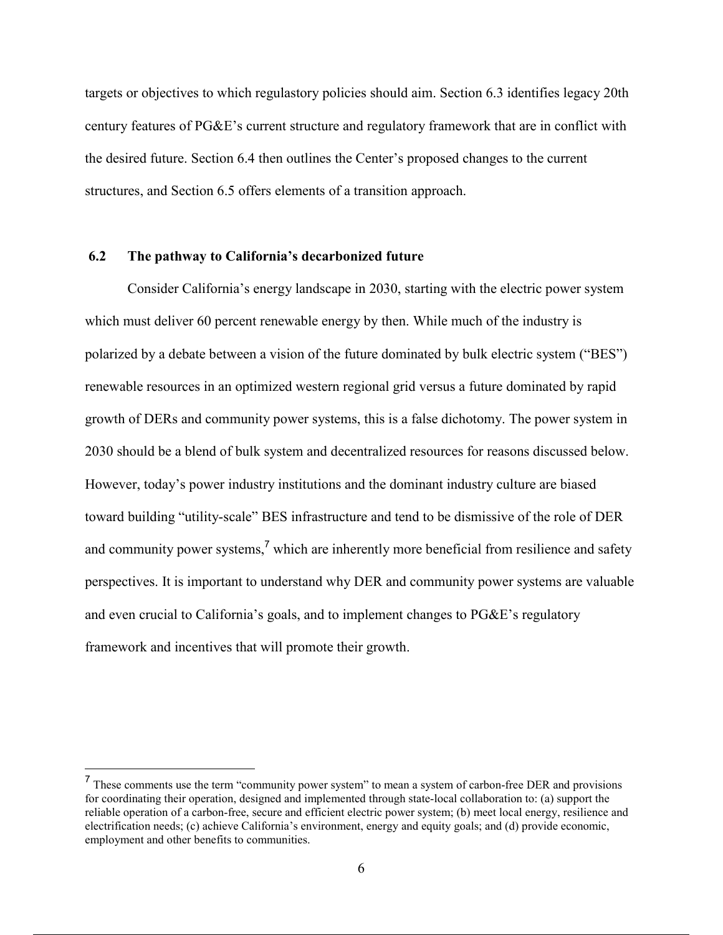targets or objectives to which regulastory policies should aim. Section 6.3 identifies legacy 20th century features of PG&E's current structure and regulatory framework that are in conflict with the desired future. Section 6.4 then outlines the Center's proposed changes to the current structures, and Section 6.5 offers elements of a transition approach.

#### **6.2 The pathway to California's decarbonized future**

 Consider California's energy landscape in 2030, starting with the electric power system which must deliver 60 percent renewable energy by then. While much of the industry is polarized by a debate between a vision of the future dominated by bulk electric system ("BES") renewable resources in an optimized western regional grid versus a future dominated by rapid growth of DERs and community power systems, this is a false dichotomy. The power system in 2030 should be a blend of bulk system and decentralized resources for reasons discussed below. However, today's power industry institutions and the dominant industry culture are biased toward building "utility-scale" BES infrastructure and tend to be dismissive of the role of DER and community power systems,<sup>7</sup> which are inherently more beneficial from resilience and safety perspectives. It is important to understand why DER and community power systems are valuable and even crucial to California's goals, and to implement changes to PG&E's regulatory framework and incentives that will promote their growth.

<sup>7</sup> These comments use the term "community power system" to mean a system of carbon-free DER and provisions for coordinating their operation, designed and implemented through state-local collaboration to: (a) support the reliable operation of a carbon-free, secure and efficient electric power system; (b) meet local energy, resilience and electrification needs; (c) achieve California's environment, energy and equity goals; and (d) provide economic, employment and other benefits to communities.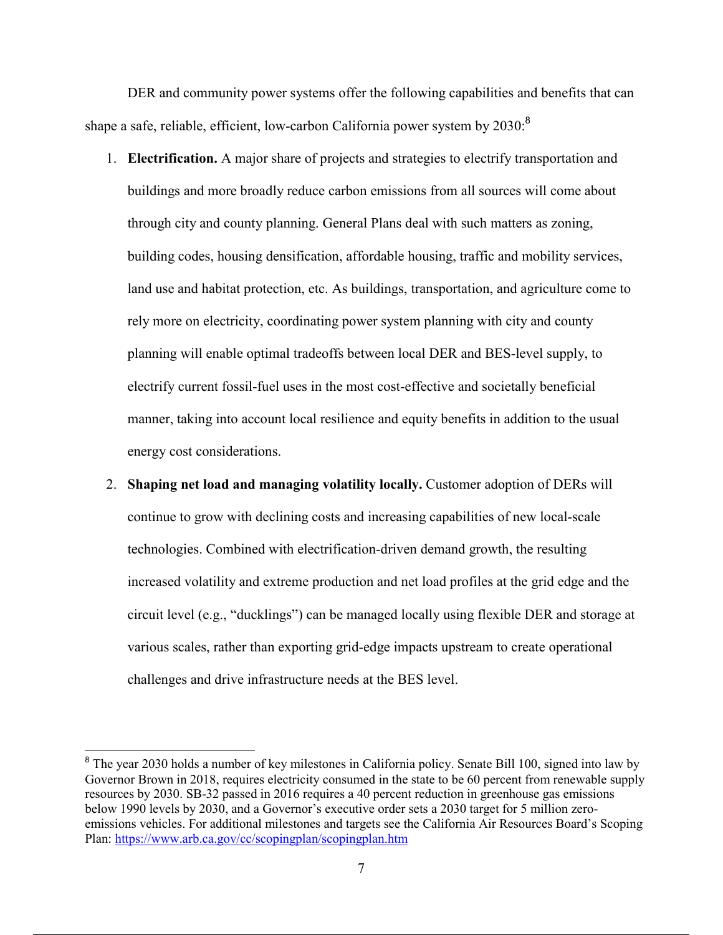DER and community power systems offer the following capabilities and benefits that can shape a safe, reliable, efficient, low-carbon California power system by  $2030$ :<sup>8</sup>

- 1. **Electrification.** A major share of projects and strategies to electrify transportation and buildings and more broadly reduce carbon emissions from all sources will come about through city and county planning. General Plans deal with such matters as zoning, building codes, housing densification, affordable housing, traffic and mobility services, land use and habitat protection, etc. As buildings, transportation, and agriculture come to rely more on electricity, coordinating power system planning with city and county planning will enable optimal tradeoffs between local DER and BES-level supply, to electrify current fossil-fuel uses in the most cost-effective and societally beneficial manner, taking into account local resilience and equity benefits in addition to the usual energy cost considerations.
- 2. **Shaping net load and managing volatility locally.** Customer adoption of DERs will continue to grow with declining costs and increasing capabilities of new local-scale technologies. Combined with electrification-driven demand growth, the resulting increased volatility and extreme production and net load profiles at the grid edge and the circuit level (e.g., "ducklings") can be managed locally using flexible DER and storage at various scales, rather than exporting grid-edge impacts upstream to create operational challenges and drive infrastructure needs at the BES level.

<sup>&</sup>lt;sup>8</sup> The year 2030 holds a number of key milestones in California policy. Senate Bill 100, signed into law by Governor Brown in 2018, requires electricity consumed in the state to be 60 percent from renewable supply resources by 2030. SB-32 passed in 2016 requires a 40 percent reduction in greenhouse gas emissions below 1990 levels by 2030, and a Governor's executive order sets a 2030 target for 5 million zeroemissions vehicles. For additional milestones and targets see the California Air Resources Board's Scoping Plan: https://www.arb.ca.gov/cc/scopingplan/scopingplan.htm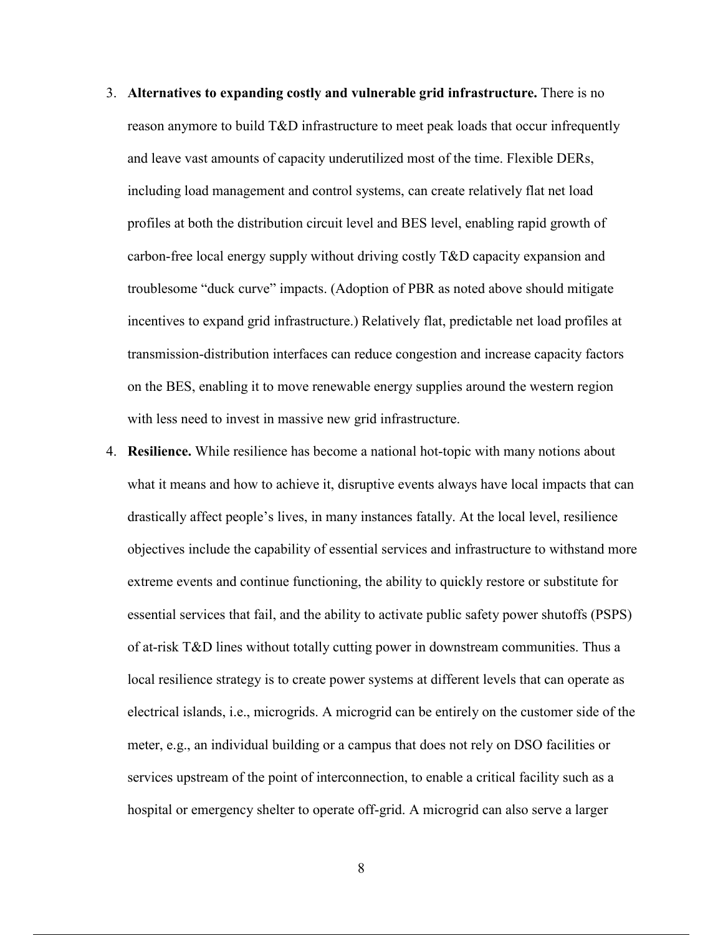- 3. **Alternatives to expanding costly and vulnerable grid infrastructure.** There is no reason anymore to build T&D infrastructure to meet peak loads that occur infrequently and leave vast amounts of capacity underutilized most of the time. Flexible DERs, including load management and control systems, can create relatively flat net load profiles at both the distribution circuit level and BES level, enabling rapid growth of carbon-free local energy supply without driving costly T&D capacity expansion and troublesome "duck curve" impacts. (Adoption of PBR as noted above should mitigate incentives to expand grid infrastructure.) Relatively flat, predictable net load profiles at transmission-distribution interfaces can reduce congestion and increase capacity factors on the BES, enabling it to move renewable energy supplies around the western region with less need to invest in massive new grid infrastructure.
- 4. **Resilience.** While resilience has become a national hot-topic with many notions about what it means and how to achieve it, disruptive events always have local impacts that can drastically affect people's lives, in many instances fatally. At the local level, resilience objectives include the capability of essential services and infrastructure to withstand more extreme events and continue functioning, the ability to quickly restore or substitute for essential services that fail, and the ability to activate public safety power shutoffs (PSPS) of at-risk T&D lines without totally cutting power in downstream communities. Thus a local resilience strategy is to create power systems at different levels that can operate as electrical islands, i.e., microgrids. A microgrid can be entirely on the customer side of the meter, e.g., an individual building or a campus that does not rely on DSO facilities or services upstream of the point of interconnection, to enable a critical facility such as a hospital or emergency shelter to operate off-grid. A microgrid can also serve a larger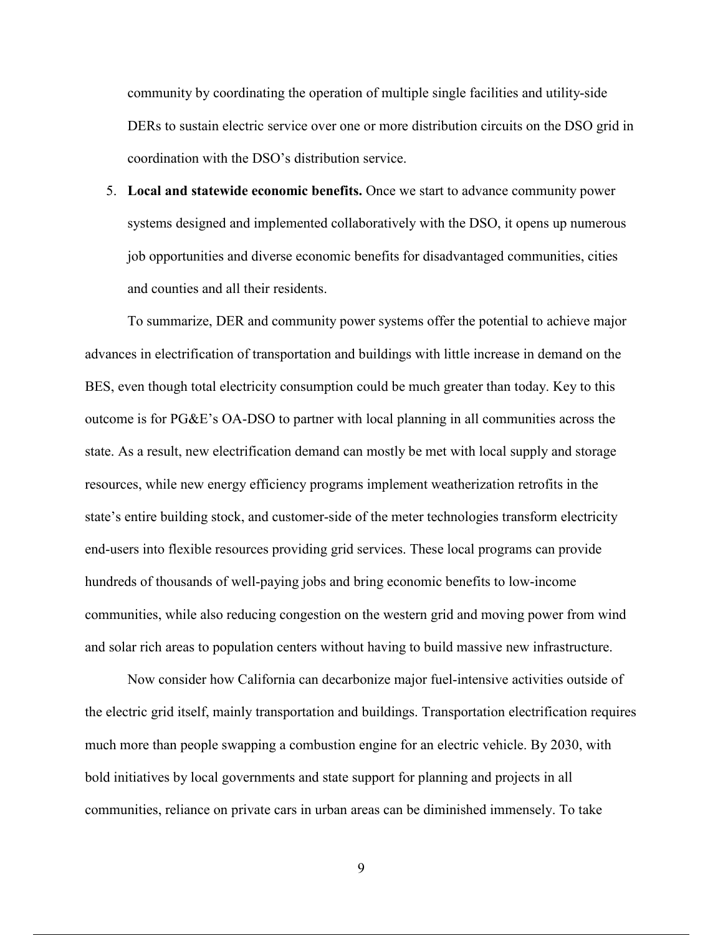community by coordinating the operation of multiple single facilities and utility-side DERs to sustain electric service over one or more distribution circuits on the DSO grid in coordination with the DSO's distribution service.

5. **Local and statewide economic benefits.** Once we start to advance community power systems designed and implemented collaboratively with the DSO, it opens up numerous job opportunities and diverse economic benefits for disadvantaged communities, cities and counties and all their residents.

To summarize, DER and community power systems offer the potential to achieve major advances in electrification of transportation and buildings with little increase in demand on the BES, even though total electricity consumption could be much greater than today. Key to this outcome is for PG&E's OA-DSO to partner with local planning in all communities across the state. As a result, new electrification demand can mostly be met with local supply and storage resources, while new energy efficiency programs implement weatherization retrofits in the state's entire building stock, and customer-side of the meter technologies transform electricity end-users into flexible resources providing grid services. These local programs can provide hundreds of thousands of well-paying jobs and bring economic benefits to low-income communities, while also reducing congestion on the western grid and moving power from wind and solar rich areas to population centers without having to build massive new infrastructure.

Now consider how California can decarbonize major fuel-intensive activities outside of the electric grid itself, mainly transportation and buildings. Transportation electrification requires much more than people swapping a combustion engine for an electric vehicle. By 2030, with bold initiatives by local governments and state support for planning and projects in all communities, reliance on private cars in urban areas can be diminished immensely. To take

9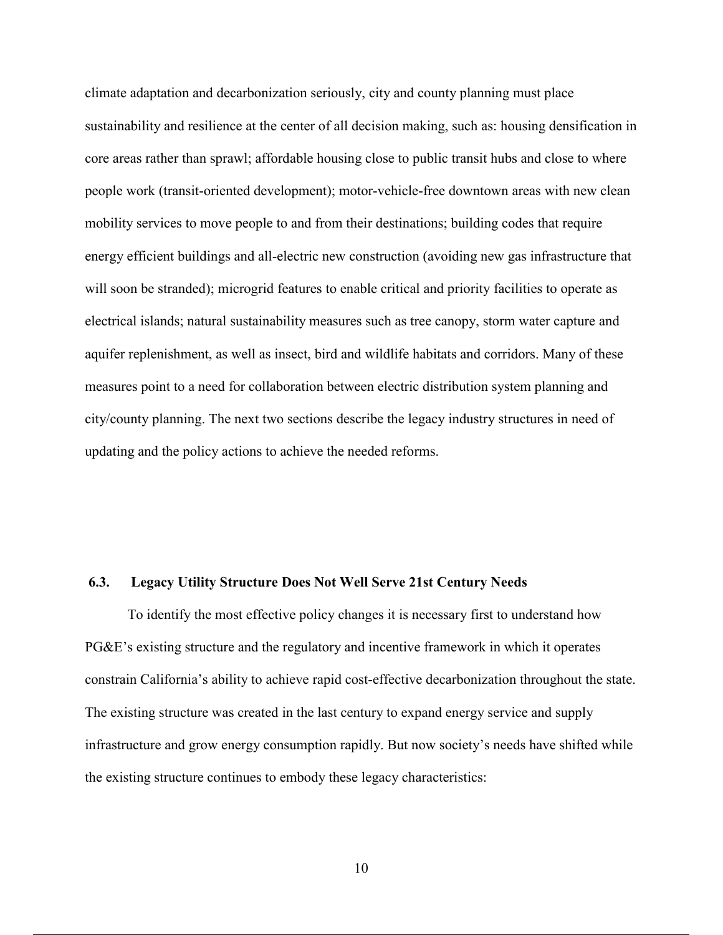climate adaptation and decarbonization seriously, city and county planning must place sustainability and resilience at the center of all decision making, such as: housing densification in core areas rather than sprawl; affordable housing close to public transit hubs and close to where people work (transit-oriented development); motor-vehicle-free downtown areas with new clean mobility services to move people to and from their destinations; building codes that require energy efficient buildings and all-electric new construction (avoiding new gas infrastructure that will soon be stranded); microgrid features to enable critical and priority facilities to operate as electrical islands; natural sustainability measures such as tree canopy, storm water capture and aquifer replenishment, as well as insect, bird and wildlife habitats and corridors. Many of these measures point to a need for collaboration between electric distribution system planning and city/county planning. The next two sections describe the legacy industry structures in need of updating and the policy actions to achieve the needed reforms.

#### **6.3. Legacy Utility Structure Does Not Well Serve 21st Century Needs**

To identify the most effective policy changes it is necessary first to understand how PG&E's existing structure and the regulatory and incentive framework in which it operates constrain California's ability to achieve rapid cost-effective decarbonization throughout the state. The existing structure was created in the last century to expand energy service and supply infrastructure and grow energy consumption rapidly. But now society's needs have shifted while the existing structure continues to embody these legacy characteristics: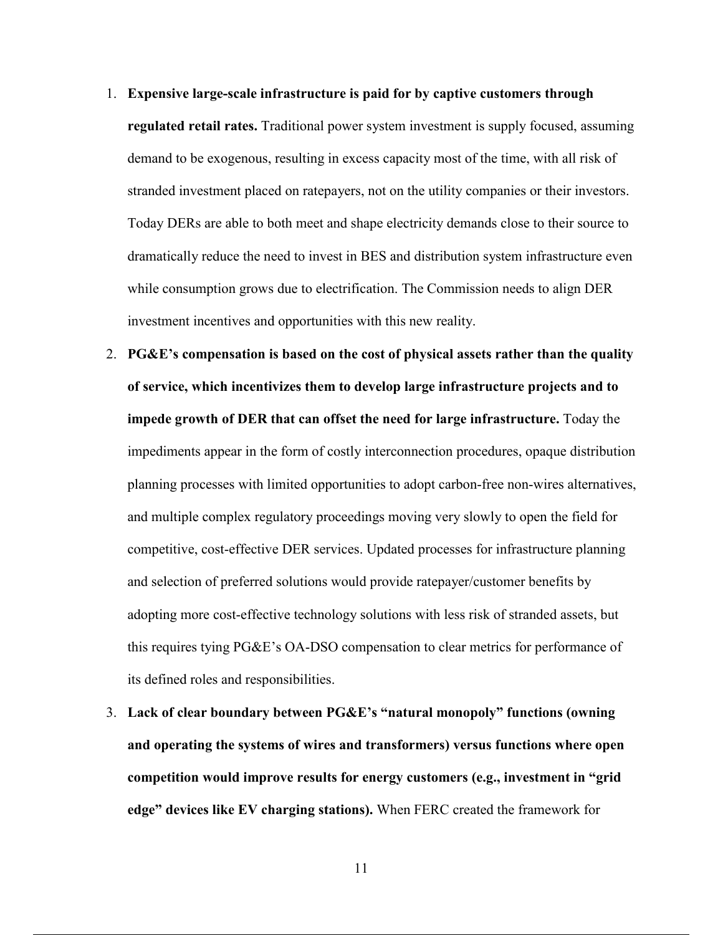- 1. **Expensive large-scale infrastructure is paid for by captive customers through regulated retail rates.** Traditional power system investment is supply focused, assuming demand to be exogenous, resulting in excess capacity most of the time, with all risk of stranded investment placed on ratepayers, not on the utility companies or their investors. Today DERs are able to both meet and shape electricity demands close to their source to dramatically reduce the need to invest in BES and distribution system infrastructure even while consumption grows due to electrification. The Commission needs to align DER investment incentives and opportunities with this new reality.
- 2. **PG&E's compensation is based on the cost of physical assets rather than the quality of service, which incentivizes them to develop large infrastructure projects and to impede growth of DER that can offset the need for large infrastructure.** Today the impediments appear in the form of costly interconnection procedures, opaque distribution planning processes with limited opportunities to adopt carbon-free non-wires alternatives, and multiple complex regulatory proceedings moving very slowly to open the field for competitive, cost-effective DER services. Updated processes for infrastructure planning and selection of preferred solutions would provide ratepayer/customer benefits by adopting more cost-effective technology solutions with less risk of stranded assets, but this requires tying PG&E's OA-DSO compensation to clear metrics for performance of its defined roles and responsibilities.
- 3. **Lack of clear boundary between PG&E's "natural monopoly" functions (owning and operating the systems of wires and transformers) versus functions where open competition would improve results for energy customers (e.g., investment in "grid edge" devices like EV charging stations).** When FERC created the framework for

11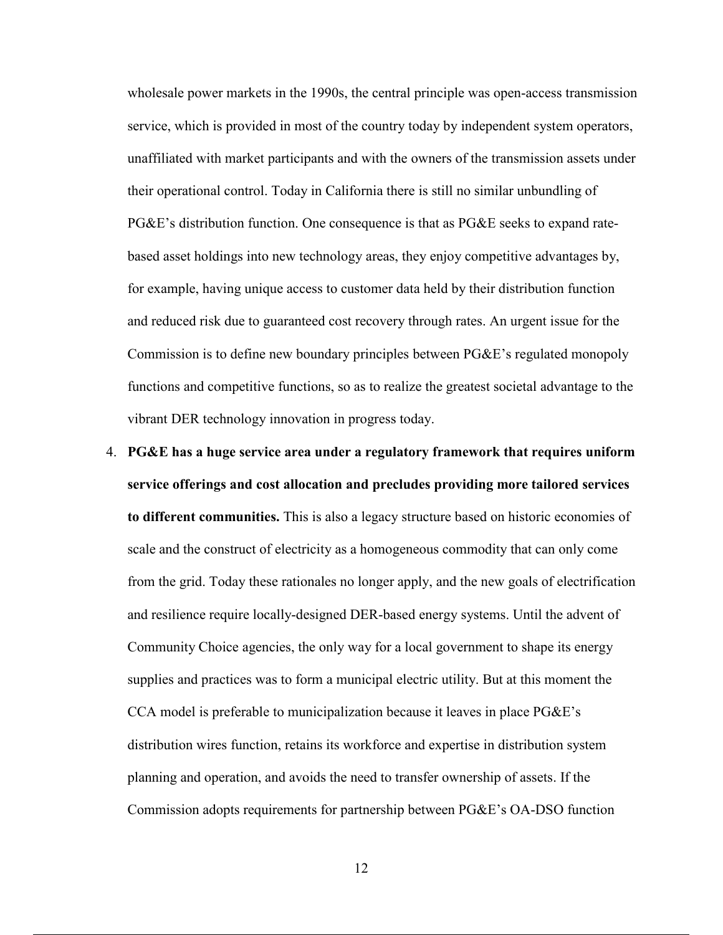wholesale power markets in the 1990s, the central principle was open-access transmission service, which is provided in most of the country today by independent system operators, unaffiliated with market participants and with the owners of the transmission assets under their operational control. Today in California there is still no similar unbundling of PG&E's distribution function. One consequence is that as PG&E seeks to expand ratebased asset holdings into new technology areas, they enjoy competitive advantages by, for example, having unique access to customer data held by their distribution function and reduced risk due to guaranteed cost recovery through rates. An urgent issue for the Commission is to define new boundary principles between PG&E's regulated monopoly functions and competitive functions, so as to realize the greatest societal advantage to the vibrant DER technology innovation in progress today.

4. **PG&E has a huge service area under a regulatory framework that requires uniform service offerings and cost allocation and precludes providing more tailored services to different communities.** This is also a legacy structure based on historic economies of scale and the construct of electricity as a homogeneous commodity that can only come from the grid. Today these rationales no longer apply, and the new goals of electrification and resilience require locally-designed DER-based energy systems. Until the advent of Community Choice agencies, the only way for a local government to shape its energy supplies and practices was to form a municipal electric utility. But at this moment the CCA model is preferable to municipalization because it leaves in place PG&E's distribution wires function, retains its workforce and expertise in distribution system planning and operation, and avoids the need to transfer ownership of assets. If the Commission adopts requirements for partnership between PG&E's OA-DSO function

12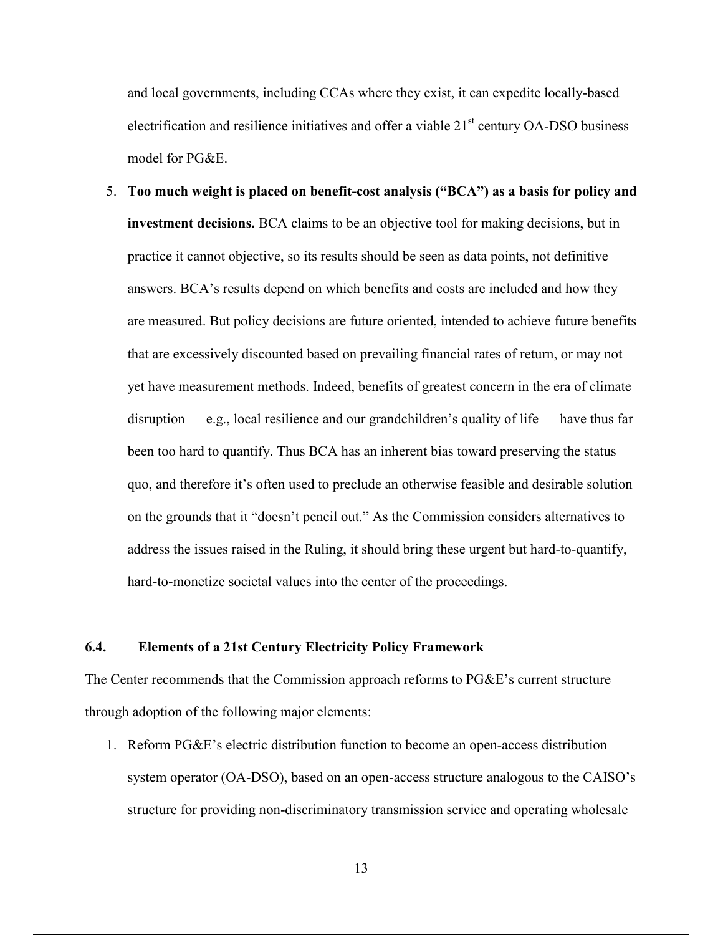and local governments, including CCAs where they exist, it can expedite locally-based electrification and resilience initiatives and offer a viable  $21<sup>st</sup>$  century OA-DSO business model for PG&E.

5. **Too much weight is placed on benefit-cost analysis ("BCA") as a basis for policy and investment decisions.** BCA claims to be an objective tool for making decisions, but in practice it cannot objective, so its results should be seen as data points, not definitive answers. BCA's results depend on which benefits and costs are included and how they are measured. But policy decisions are future oriented, intended to achieve future benefits that are excessively discounted based on prevailing financial rates of return, or may not yet have measurement methods. Indeed, benefits of greatest concern in the era of climate disruption — e.g., local resilience and our grandchildren's quality of life — have thus far been too hard to quantify. Thus BCA has an inherent bias toward preserving the status quo, and therefore it's often used to preclude an otherwise feasible and desirable solution on the grounds that it "doesn't pencil out." As the Commission considers alternatives to address the issues raised in the Ruling, it should bring these urgent but hard-to-quantify, hard-to-monetize societal values into the center of the proceedings.

#### **6.4. Elements of a 21st Century Electricity Policy Framework**

The Center recommends that the Commission approach reforms to PG&E's current structure through adoption of the following major elements:

1. Reform PG&E's electric distribution function to become an open-access distribution system operator (OA-DSO), based on an open-access structure analogous to the CAISO's structure for providing non-discriminatory transmission service and operating wholesale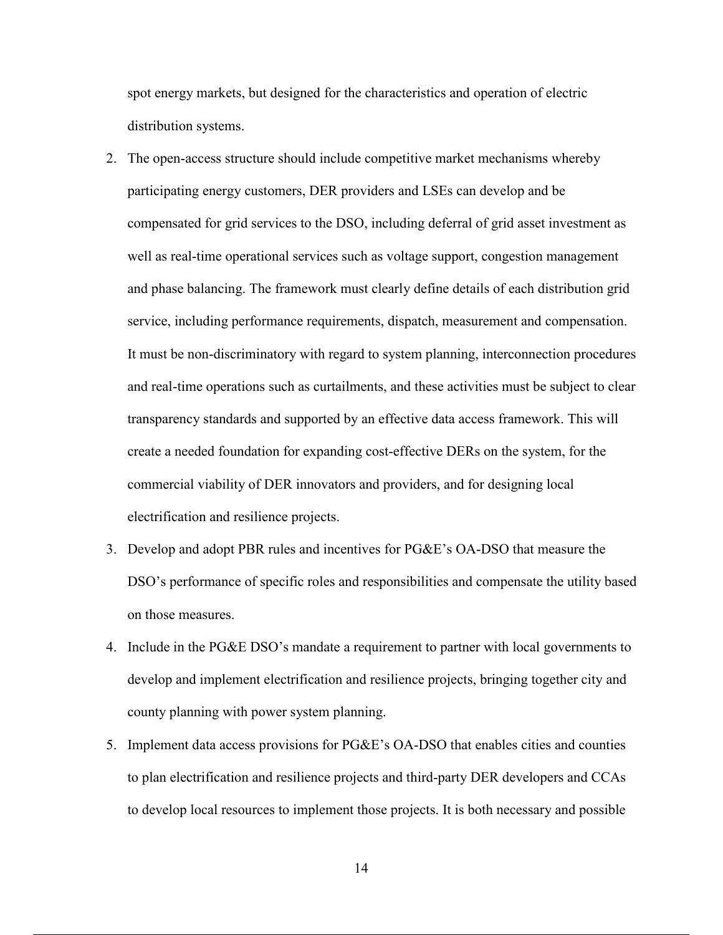spot energy markets, but designed for the characteristics and operation of electric distribution systems.

- 2. The open-access structure should include competitive market mechanisms whereby participating energy customers, DER providers and LSEs can develop and be compensated for grid services to the DSO, including deferral of grid asset investment as well as real-time operational services such as voltage support, congestion management and phase balancing. The framework must clearly define details of each distribution grid service, including performance requirements, dispatch, measurement and compensation. It must be non-discriminatory with regard to system planning, interconnection procedures and real-time operations such as curtailments, and these activities must be subject to clear transparency standards and supported by an effective data access framework. This will create a needed foundation for expanding cost-effective DERs on the system, for the commercial viability of DER innovators and providers, and for designing local electrification and resilience projects.
- 3. Develop and adopt PBR rules and incentives for PG&E's OA-DSO that measure the DSO's performance of specific roles and responsibilities and compensate the utility based on those measures.
- 4. Include in the PG&E DSO's mandate a requirement to partner with local governments to develop and implement electrification and resilience projects, bringing together city and county planning with power system planning.
- 5. Implement data access provisions for PG&E's OA-DSO that enables cities and counties to plan electrification and resilience projects and third-party DER developers and CCAs to develop local resources to implement those projects. It is both necessary and possible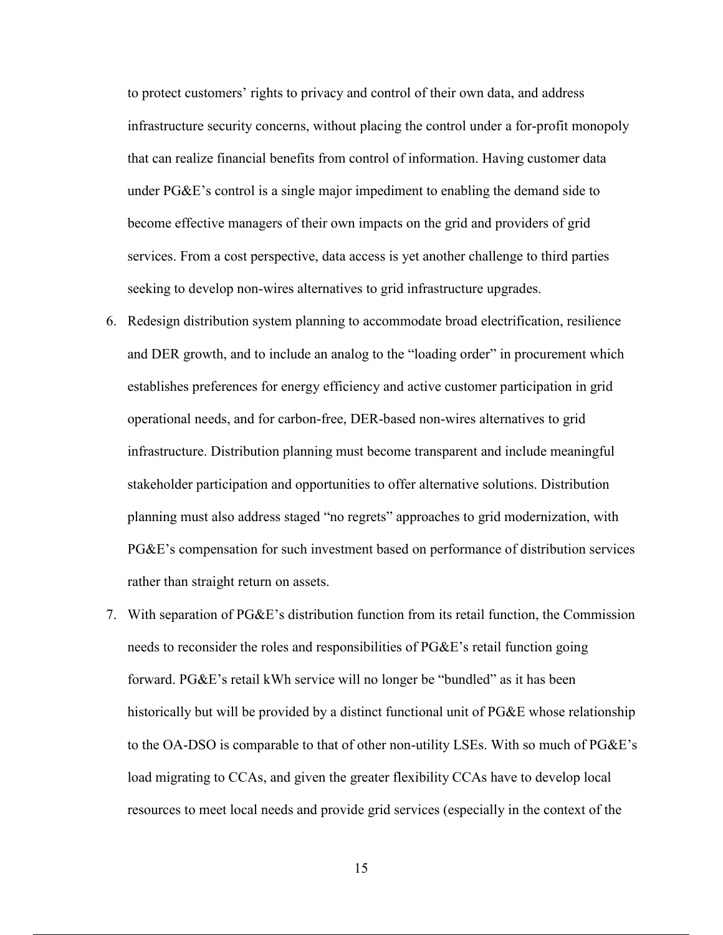to protect customers' rights to privacy and control of their own data, and address infrastructure security concerns, without placing the control under a for-profit monopoly that can realize financial benefits from control of information. Having customer data under PG&E's control is a single major impediment to enabling the demand side to become effective managers of their own impacts on the grid and providers of grid services. From a cost perspective, data access is yet another challenge to third parties seeking to develop non-wires alternatives to grid infrastructure upgrades.

- 6. Redesign distribution system planning to accommodate broad electrification, resilience and DER growth, and to include an analog to the "loading order" in procurement which establishes preferences for energy efficiency and active customer participation in grid operational needs, and for carbon-free, DER-based non-wires alternatives to grid infrastructure. Distribution planning must become transparent and include meaningful stakeholder participation and opportunities to offer alternative solutions. Distribution planning must also address staged "no regrets" approaches to grid modernization, with PG&E's compensation for such investment based on performance of distribution services rather than straight return on assets.
- 7. With separation of PG&E's distribution function from its retail function, the Commission needs to reconsider the roles and responsibilities of PG&E's retail function going forward. PG&E's retail kWh service will no longer be "bundled" as it has been historically but will be provided by a distinct functional unit of PG&E whose relationship to the OA-DSO is comparable to that of other non-utility LSEs. With so much of PG&E's load migrating to CCAs, and given the greater flexibility CCAs have to develop local resources to meet local needs and provide grid services (especially in the context of the

15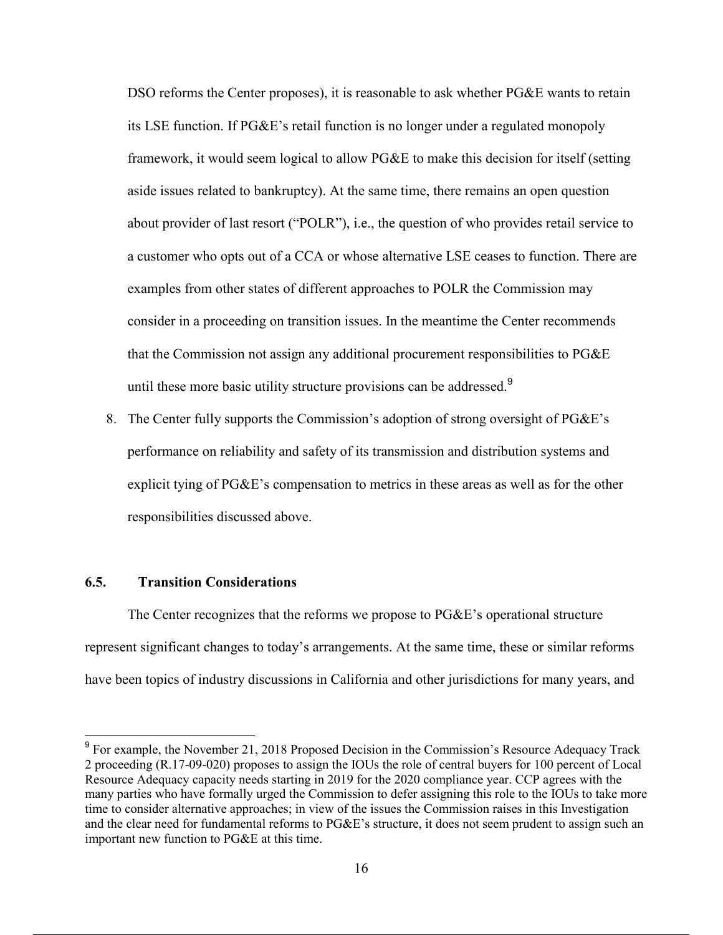DSO reforms the Center proposes), it is reasonable to ask whether PG&E wants to retain its LSE function. If PG&E's retail function is no longer under a regulated monopoly framework, it would seem logical to allow PG&E to make this decision for itself (setting aside issues related to bankruptcy). At the same time, there remains an open question about provider of last resort ("POLR"), i.e., the question of who provides retail service to a customer who opts out of a CCA or whose alternative LSE ceases to function. There are examples from other states of different approaches to POLR the Commission may consider in a proceeding on transition issues. In the meantime the Center recommends that the Commission not assign any additional procurement responsibilities to PG&E until these more basic utility structure provisions can be addressed.<sup>9</sup>

8. The Center fully supports the Commission's adoption of strong oversight of PG&E's performance on reliability and safety of its transmission and distribution systems and explicit tying of PG&E's compensation to metrics in these areas as well as for the other responsibilities discussed above.

## **6.5. Transition Considerations**

 The Center recognizes that the reforms we propose to PG&E's operational structure represent significant changes to today's arrangements. At the same time, these or similar reforms have been topics of industry discussions in California and other jurisdictions for many years, and

<sup>&</sup>lt;sup>9</sup> For example, the November 21, 2018 Proposed Decision in the Commission's Resource Adequacy Track 2 proceeding (R.17-09-020) proposes to assign the IOUs the role of central buyers for 100 percent of Local Resource Adequacy capacity needs starting in 2019 for the 2020 compliance year. CCP agrees with the many parties who have formally urged the Commission to defer assigning this role to the IOUs to take more time to consider alternative approaches; in view of the issues the Commission raises in this Investigation and the clear need for fundamental reforms to PG&E's structure, it does not seem prudent to assign such an important new function to PG&E at this time.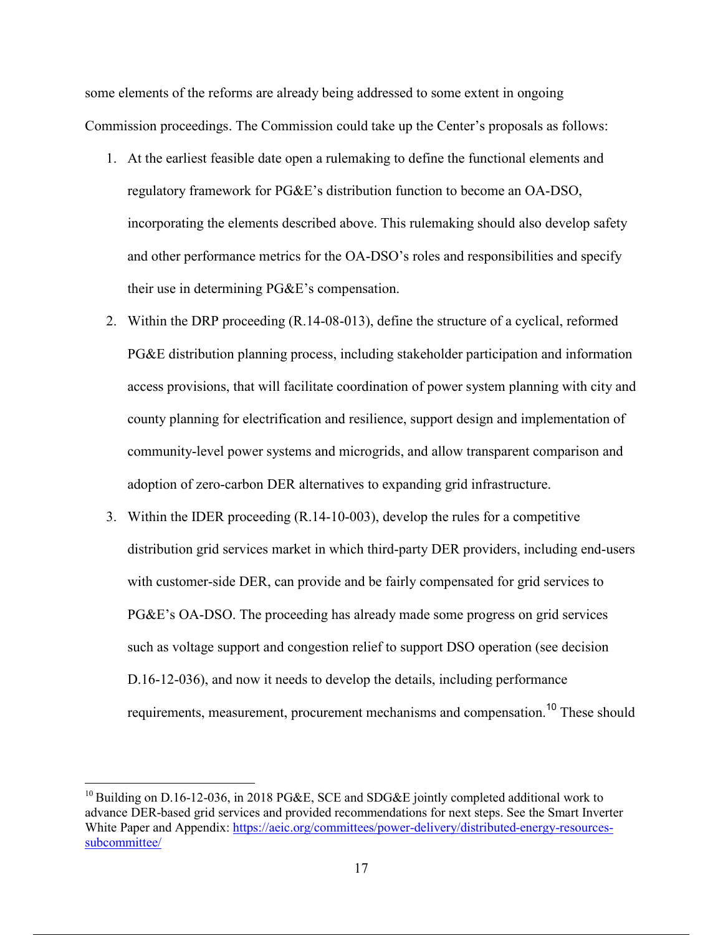some elements of the reforms are already being addressed to some extent in ongoing Commission proceedings. The Commission could take up the Center's proposals as follows:

- 1. At the earliest feasible date open a rulemaking to define the functional elements and regulatory framework for PG&E's distribution function to become an OA-DSO, incorporating the elements described above. This rulemaking should also develop safety and other performance metrics for the OA-DSO's roles and responsibilities and specify their use in determining PG&E's compensation.
- 2. Within the DRP proceeding (R.14-08-013), define the structure of a cyclical, reformed PG&E distribution planning process, including stakeholder participation and information access provisions, that will facilitate coordination of power system planning with city and county planning for electrification and resilience, support design and implementation of community-level power systems and microgrids, and allow transparent comparison and adoption of zero-carbon DER alternatives to expanding grid infrastructure.
- 3. Within the IDER proceeding (R.14-10-003), develop the rules for a competitive distribution grid services market in which third-party DER providers, including end-users with customer-side DER, can provide and be fairly compensated for grid services to PG&E's OA-DSO. The proceeding has already made some progress on grid services such as voltage support and congestion relief to support DSO operation (see decision D.16-12-036), and now it needs to develop the details, including performance requirements, measurement, procurement mechanisms and compensation.<sup>10</sup> These should

<sup>&</sup>lt;sup>10</sup> Building on D.16-12-036, in 2018 PG&E, SCE and SDG&E jointly completed additional work to advance DER-based grid services and provided recommendations for next steps. See the Smart Inverter White Paper and Appendix: https://aeic.org/committees/power-delivery/distributed-energy-resourcessubcommittee/